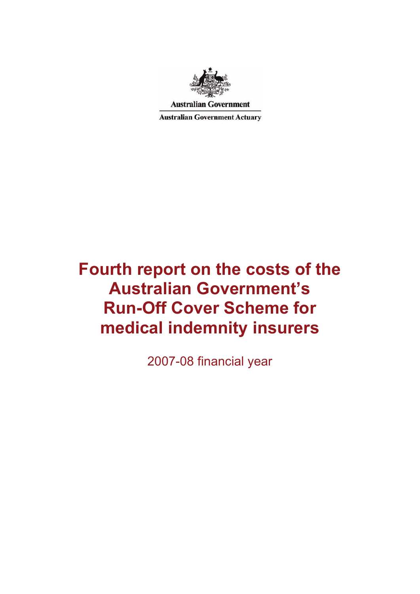

**Australian Government** 

**Australian Government Actuary** 

# **Fourth report on the costs of the Australian Government's Run-Off Cover Scheme for medical indemnity insurers**

2007-08 financial year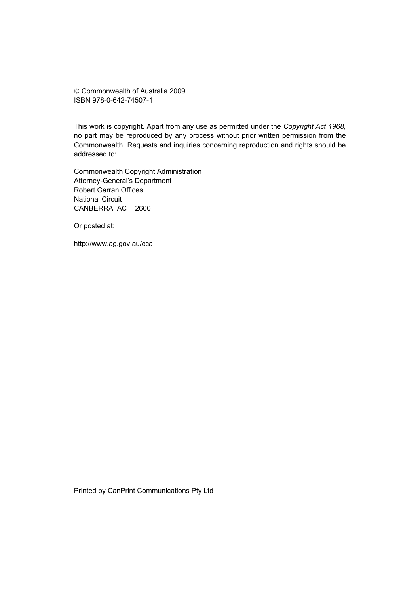© Commonwealth of Australia 2009 ISBN 978-0-642-74507-1

This work is copyright. Apart from any use as permitted under the *Copyright Act 1968*, no part may be reproduced by any process without prior written permission from the Commonwealth. Requests and inquiries concerning reproduction and rights should be addressed to:

Commonwealth Copyright Administration Attorney-General's Department Robert Garran Offices National Circuit CANBERRA ACT 2600

Or posted at:

http://www.ag.gov.au/cca

Printed by CanPrint Communications Pty Ltd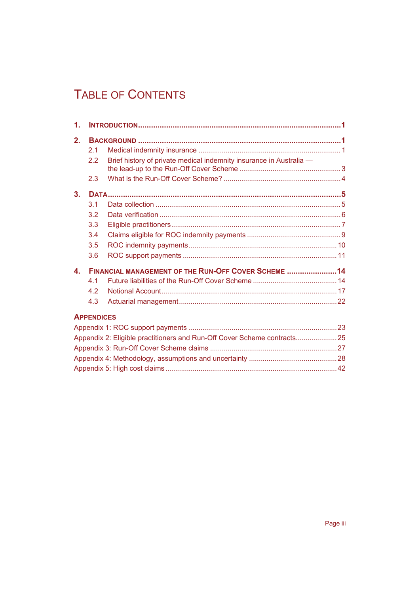## TABLE OF CONTENTS

| $\mathbf 1$ .    |                   |                                                                          |  |  |  |
|------------------|-------------------|--------------------------------------------------------------------------|--|--|--|
| 2 <sub>1</sub>   |                   |                                                                          |  |  |  |
|                  | 2 <sub>1</sub>    |                                                                          |  |  |  |
|                  | 2.2               | Brief history of private medical indemnity insurance in Australia -      |  |  |  |
|                  | 2.3               |                                                                          |  |  |  |
| 3 <sub>1</sub>   |                   |                                                                          |  |  |  |
|                  | 3.1               |                                                                          |  |  |  |
|                  | 3.2               |                                                                          |  |  |  |
|                  | 3.3               |                                                                          |  |  |  |
|                  | 3.4               |                                                                          |  |  |  |
|                  | 3.5               |                                                                          |  |  |  |
|                  | 3.6               |                                                                          |  |  |  |
| $\blacktriangle$ |                   | FINANCIAL MANAGEMENT OF THE RUN-OFF COVER SCHEME 14                      |  |  |  |
|                  | 4 <sub>1</sub>    |                                                                          |  |  |  |
|                  | 4.2               |                                                                          |  |  |  |
|                  | 4.3               |                                                                          |  |  |  |
|                  | <b>APPENDICES</b> |                                                                          |  |  |  |
|                  |                   |                                                                          |  |  |  |
|                  |                   | Appendix 2: Eligible practitioners and Run-Off Cover Scheme contracts 25 |  |  |  |
|                  |                   |                                                                          |  |  |  |
|                  |                   |                                                                          |  |  |  |
|                  |                   |                                                                          |  |  |  |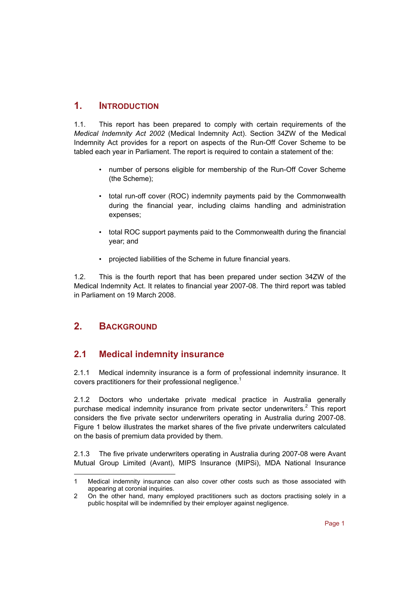## **1. INTRODUCTION**

1.1. This report has been prepared to comply with certain requirements of the *Medical Indemnity Act 2002* (Medical Indemnity Act). Section 34ZW of the Medical Indemnity Act provides for a report on aspects of the Run-Off Cover Scheme to be tabled each year in Parliament. The report is required to contain a statement of the:

- number of persons eligible for membership of the Run-Off Cover Scheme (the Scheme);
- total run-off cover (ROC) indemnity payments paid by the Commonwealth during the financial year, including claims handling and administration expenses;
- total ROC support payments paid to the Commonwealth during the financial year; and
- projected liabilities of the Scheme in future financial years.

1.2. This is the fourth report that has been prepared under section 34ZW of the Medical Indemnity Act. It relates to financial year 2007-08. The third report was tabled in Parliament on 19 March 2008.

## **2. BACKGROUND**

## **2.1 Medical indemnity insurance**

2.1.1 Medical indemnity insurance is a form of professional indemnity insurance. It covers practitioners for their professional negligence.<sup>1</sup>

2.1.2 Doctors who undertake private medical practice in Australia generally purchase medical indemnity insurance from private sector underwriters. $2$  This report considers the five private sector underwriters operating in Australia during 2007-08. Figure 1 below illustrates the market shares of the five private underwriters calculated on the basis of premium data provided by them.

2.1.3 The five private underwriters operating in Australia during 2007-08 were Avant Mutual Group Limited (Avant), MIPS Insurance (MIPSi), MDA National Insurance

l 1 Medical indemnity insurance can also cover other costs such as those associated with appearing at coronial inquiries.

<sup>2</sup> On the other hand, many employed practitioners such as doctors practising solely in a public hospital will be indemnified by their employer against negligence.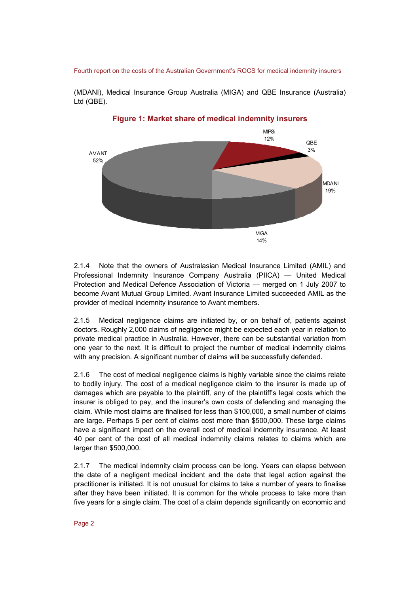(MDANI), Medical Insurance Group Australia (MIGA) and QBE Insurance (Australia) Ltd (QBE).



2.1.4 Note that the owners of Australasian Medical Insurance Limited (AMIL) and Professional Indemnity Insurance Company Australia (PIICA) — United Medical Protection and Medical Defence Association of Victoria — merged on 1 July 2007 to become Avant Mutual Group Limited. Avant Insurance Limited succeeded AMIL as the provider of medical indemnity insurance to Avant members.

2.1.5 Medical negligence claims are initiated by, or on behalf of, patients against doctors. Roughly 2,000 claims of negligence might be expected each year in relation to private medical practice in Australia. However, there can be substantial variation from one year to the next. It is difficult to project the number of medical indemnity claims with any precision. A significant number of claims will be successfully defended.

2.1.6 The cost of medical negligence claims is highly variable since the claims relate to bodily injury. The cost of a medical negligence claim to the insurer is made up of damages which are payable to the plaintiff*,* any of the plaintiff's legal costs which the insurer is obliged to pay, and the insurer's own costs of defending and managing the claim*.* While most claims are finalised for less than \$100,000, a small number of claims are large. Perhaps 5 per cent of claims cost more than \$500,000. These large claims have a significant impact on the overall cost of medical indemnity insurance. At least 40 per cent of the cost of all medical indemnity claims relates to claims which are larger than \$500,000.

2.1.7 The medical indemnity claim process can be long. Years can elapse between the date of a negligent medical incident and the date that legal action against the practitioner is initiated. It is not unusual for claims to take a number of years to finalise after they have been initiated. It is common for the whole process to take more than five years for a single claim. The cost of a claim depends significantly on economic and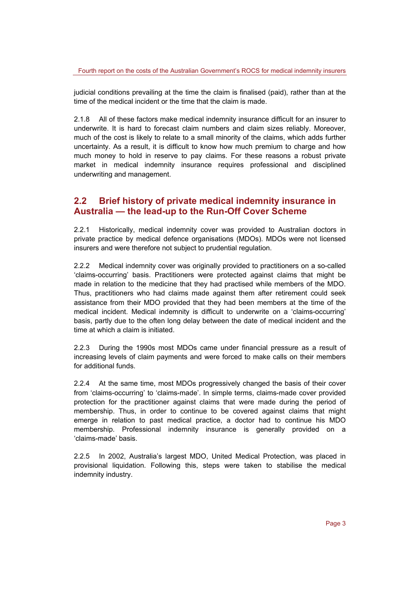judicial conditions prevailing at the time the claim is finalised (paid), rather than at the time of the medical incident or the time that the claim is made.

2.1.8 All of these factors make medical indemnity insurance difficult for an insurer to underwrite. It is hard to forecast claim numbers and claim sizes reliably. Moreover, much of the cost is likely to relate to a small minority of the claims, which adds further uncertainty. As a result, it is difficult to know how much premium to charge and how much money to hold in reserve to pay claims. For these reasons a robust private market in medical indemnity insurance requires professional and disciplined underwriting and management.

## **2.2 Brief history of private medical indemnity insurance in Australia — the lead-up to the Run-Off Cover Scheme**

2.2.1 Historically, medical indemnity cover was provided to Australian doctors in private practice by medical defence organisations (MDOs). MDOs were not licensed insurers and were therefore not subject to prudential regulation.

2.2.2 Medical indemnity cover was originally provided to practitioners on a so-called 'claims-occurring' basis. Practitioners were protected against claims that might be made in relation to the medicine that they had practised while members of the MDO. Thus, practitioners who had claims made against them after retirement could seek assistance from their MDO provided that they had been members at the time of the medical incident. Medical indemnity is difficult to underwrite on a 'claims-occurring' basis, partly due to the often long delay between the date of medical incident and the time at which a claim is initiated.

2.2.3 During the 1990s most MDOs came under financial pressure as a result of increasing levels of claim payments and were forced to make calls on their members for additional funds.

2.2.4 At the same time, most MDOs progressively changed the basis of their cover from 'claims-occurring' to 'claims-made'. In simple terms, claims-made cover provided protection for the practitioner against claims that were made during the period of membership. Thus, in order to continue to be covered against claims that might emerge in relation to past medical practice, a doctor had to continue his MDO membership. Professional indemnity insurance is generally provided on a 'claims-made' basis.

2.2.5 In 2002, Australia's largest MDO, United Medical Protection, was placed in provisional liquidation. Following this, steps were taken to stabilise the medical indemnity industry.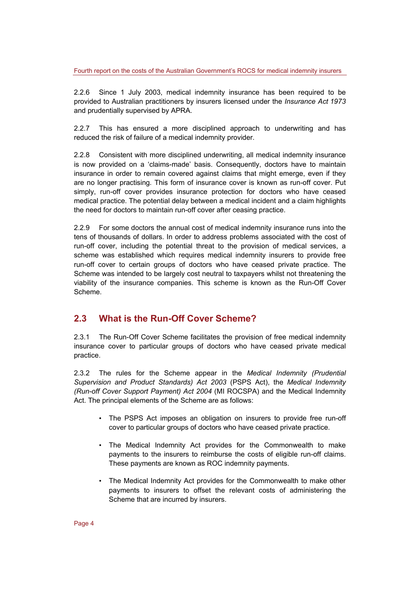2.2.6 Since 1 July 2003, medical indemnity insurance has been required to be provided to Australian practitioners by insurers licensed under the *Insurance Act 1973* and prudentially supervised by APRA.

2.2.7 This has ensured a more disciplined approach to underwriting and has reduced the risk of failure of a medical indemnity provider.

2.2.8 Consistent with more disciplined underwriting, all medical indemnity insurance is now provided on a 'claims-made' basis. Consequently, doctors have to maintain insurance in order to remain covered against claims that might emerge, even if they are no longer practising*.* This form of insurance cover is known as run-off cover. Put simply, run-off cover provides insurance protection for doctors who have ceased medical practice. The potential delay between a medical incident and a claim highlights the need for doctors to maintain run-off cover after ceasing practice.

2.2.9 For some doctors the annual cost of medical indemnity insurance runs into the tens of thousands of dollars. In order to address problems associated with the cost of run-off cover, including the potential threat to the provision of medical services, a scheme was established which requires medical indemnity insurers to provide free run-off cover to certain groups of doctors who have ceased private practice. The Scheme was intended to be largely cost neutral to taxpayers whilst not threatening the viability of the insurance companies. This scheme is known as the Run-Off Cover Scheme.

## **2.3 What is the Run-Off Cover Scheme?**

2.3.1 The Run-Off Cover Scheme facilitates the provision of free medical indemnity insurance cover to particular groups of doctors who have ceased private medical practice.

2.3.2 The rules for the Scheme appear in the *Medical Indemnity (Prudential Supervision and Product Standards) Act 2003* (PSPS Act), the *Medical Indemnity (Run-off Cover Support Payment) Act 2004* (MI ROCSPA) and the Medical Indemnity Act. The principal elements of the Scheme are as follows:

- The PSPS Act imposes an obligation on insurers to provide free run-off cover to particular groups of doctors who have ceased private practice.
- The Medical Indemnity Act provides for the Commonwealth to make payments to the insurers to reimburse the costs of eligible run-off claims. These payments are known as ROC indemnity payments.
- The Medical Indemnity Act provides for the Commonwealth to make other payments to insurers to offset the relevant costs of administering the Scheme that are incurred by insurers.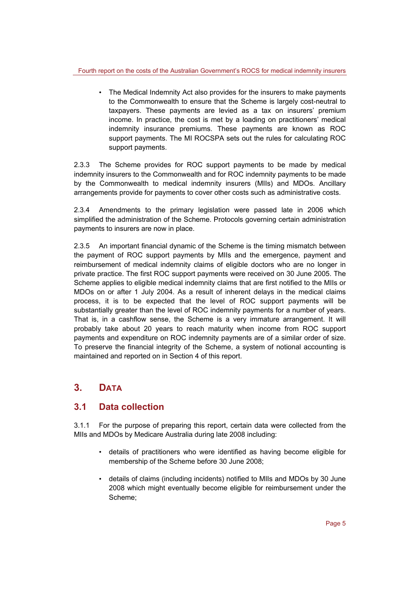• The Medical Indemnity Act also provides for the insurers to make payments to the Commonwealth to ensure that the Scheme is largely cost-neutral to taxpayers. These payments are levied as a tax on insurers' premium income. In practice, the cost is met by a loading on practitioners' medical indemnity insurance premiums. These payments are known as ROC support payments. The MI ROCSPA sets out the rules for calculating ROC support payments.

2.3.3 The Scheme provides for ROC support payments to be made by medical indemnity insurers to the Commonwealth and for ROC indemnity payments to be made by the Commonwealth to medical indemnity insurers (MIIs) and MDOs. Ancillary arrangements provide for payments to cover other costs such as administrative costs.

2.3.4 Amendments to the primary legislation were passed late in 2006 which simplified the administration of the Scheme. Protocols governing certain administration payments to insurers are now in place.

2.3.5 An important financial dynamic of the Scheme is the timing mismatch between the payment of ROC support payments by MIIs and the emergence, payment and reimbursement of medical indemnity claims of eligible doctors who are no longer in private practice. The first ROC support payments were received on 30 June 2005. The Scheme applies to eligible medical indemnity claims that are first notified to the MIIs or MDOs on or after 1 July 2004. As a result of inherent delays in the medical claims process, it is to be expected that the level of ROC support payments will be substantially greater than the level of ROC indemnity payments for a number of years. That is, in a cashflow sense, the Scheme is a very immature arrangement. It will probably take about 20 years to reach maturity when income from ROC support payments and expenditure on ROC indemnity payments are of a similar order of size. To preserve the financial integrity of the Scheme, a system of notional accounting is maintained and reported on in Section 4 of this report.

## **3. DATA**

## **3.1 Data collection**

3.1.1 For the purpose of preparing this report, certain data were collected from the MIIs and MDOs by Medicare Australia during late 2008 including:

- details of practitioners who were identified as having become eligible for membership of the Scheme before 30 June 2008;
- details of claims (including incidents) notified to MIIs and MDOs by 30 June 2008 which might eventually become eligible for reimbursement under the Scheme;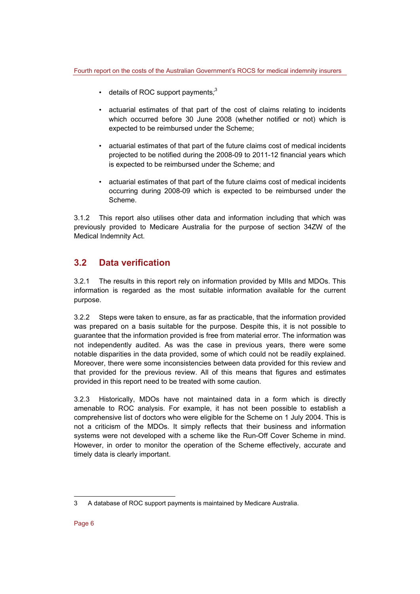- details of ROC support payments*;* 3
- actuarial estimates of that part of the cost of claims relating to incidents which occurred before 30 June 2008 (whether notified or not) which is expected to be reimbursed under the Scheme;
- actuarial estimates of that part of the future claims cost of medical incidents projected to be notified during the 2008-09 to 2011-12 financial years which is expected to be reimbursed under the Scheme; and
- actuarial estimates of that part of the future claims cost of medical incidents occurring during 2008-09 which is expected to be reimbursed under the Scheme.

3.1.2 This report also utilises other data and information including that which was previously provided to Medicare Australia for the purpose of section 34ZW of the Medical Indemnity Act.

## **3.2 Data verification**

3.2.1 The results in this report rely on information provided by MIIs and MDOs. This information is regarded as the most suitable information available for the current purpose.

3.2.2 Steps were taken to ensure, as far as practicable, that the information provided was prepared on a basis suitable for the purpose. Despite this, it is not possible to guarantee that the information provided is free from material error. The information was not independently audited. As was the case in previous years, there were some notable disparities in the data provided, some of which could not be readily explained. Moreover, there were some inconsistencies between data provided for this review and that provided for the previous review. All of this means that figures and estimates provided in this report need to be treated with some caution.

3.2.3 Historically, MDOs have not maintained data in a form which is directly amenable to ROC analysis. For example, it has not been possible to establish a comprehensive list of doctors who were eligible for the Scheme on 1 July 2004. This is not a criticism of the MDOs. It simply reflects that their business and information systems were not developed with a scheme like the Run-Off Cover Scheme in mind. However, in order to monitor the operation of the Scheme effectively, accurate and timely data is clearly important.

l

<sup>3</sup> A database of ROC support payments is maintained by Medicare Australia.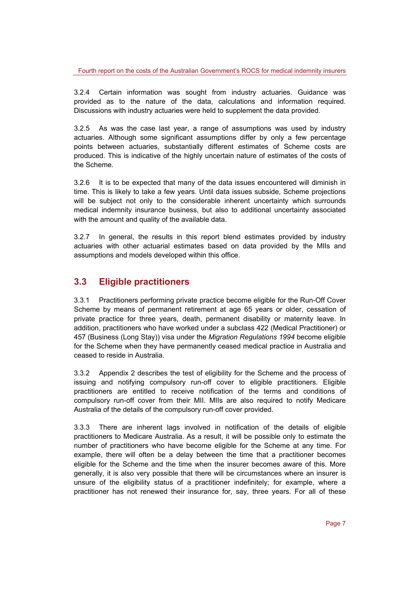3.2.4 Certain information was sought from industry actuaries. Guidance was provided as to the nature of the data, calculations and information required. Discussions with industry actuaries were held to supplement the data provided.

3.2.5 As was the case last year, a range of assumptions was used by industry actuaries. Although some significant assumptions differ by only a few percentage points between actuaries, substantially different estimates of Scheme costs are produced. This is indicative of the highly uncertain nature of estimates of the costs of the Scheme.

3.2.6 It is to be expected that many of the data issues encountered will diminish in time. This is likely to take a few years. Until data issues subside, Scheme projections will be subject not only to the considerable inherent uncertainty which surrounds medical indemnity insurance business, but also to additional uncertainty associated with the amount and quality of the available data.

3.2.7 In general, the results in this report blend estimates provided by industry actuaries with other actuarial estimates based on data provided by the MIIs and assumptions and models developed within this office.

## **3.3 Eligible practitioners**

3.3.1 Practitioners performing private practice become eligible for the Run-Off Cover Scheme by means of permanent retirement at age 65 years or older, cessation of private practice for three years, death, permanent disability or maternity leave. In addition, practitioners who have worked under a subclass 422 (Medical Practitioner) or 457 (Business (Long Stay)) visa under the *Migration Regulations 1994* become eligible for the Scheme when they have permanently ceased medical practice in Australia and ceased to reside in Australia.

3.3.2 Appendix 2 describes the test of eligibility for the Scheme and the process of issuing and notifying compulsory run-off cover to eligible practitioners. Eligible practitioners are entitled to receive notification of the terms and conditions of compulsory run-off cover from their MII. MIIs are also required to notify Medicare Australia of the details of the compulsory run-off cover provided.

3.3.3 There are inherent lags involved in notification of the details of eligible practitioners to Medicare Australia. As a result, it will be possible only to estimate the number of practitioners who have become eligible for the Scheme at any time. For example, there will often be a delay between the time that a practitioner becomes eligible for the Scheme and the time when the insurer becomes aware of this. More generally, it is also very possible that there will be circumstances where an insurer is unsure of the eligibility status of a practitioner indefinitely; for example, where a practitioner has not renewed their insurance for, say, three years. For all of these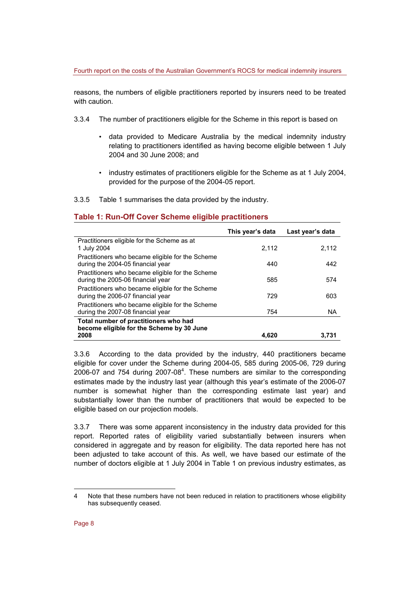reasons, the numbers of eligible practitioners reported by insurers need to be treated with caution.

- 3.3.4 The number of practitioners eligible for the Scheme in this report is based on
	- data provided to Medicare Australia by the medical indemnity industry relating to practitioners identified as having become eligible between 1 July 2004 and 30 June 2008; and
	- industry estimates of practitioners eligible for the Scheme as at 1 July 2004, provided for the purpose of the 2004-05 report.
- 3.3.5 Table 1 summarises the data provided by the industry.

### **Table 1: Run-Off Cover Scheme eligible practitioners**

|                                                                                       | This year's data | Last year's data |
|---------------------------------------------------------------------------------------|------------------|------------------|
| Practitioners eligible for the Scheme as at<br>1 July 2004                            | 2.112            | 2.112            |
| Practitioners who became eligible for the Scheme<br>during the 2004-05 financial year | 440              | 442              |
| Practitioners who became eligible for the Scheme<br>during the 2005-06 financial year | 585              | 574              |
| Practitioners who became eligible for the Scheme<br>during the 2006-07 financial year | 729              | 603              |
| Practitioners who became eligible for the Scheme<br>during the 2007-08 financial year | 754              | <b>NA</b>        |
| Total number of practitioners who had<br>become eligible for the Scheme by 30 June    |                  |                  |
| 2008                                                                                  | 4.620            | 3.731            |

3.3.6 According to the data provided by the industry, 440 practitioners became eligible for cover under the Scheme during 2004-05, 585 during 2005-06, 729 during 2006-07 and 754 during 2007-08<sup>4</sup>. These numbers are similar to the corresponding estimates made by the industry last year (although this year's estimate of the 2006-07 number is somewhat higher than the corresponding estimate last year) and substantially lower than the number of practitioners that would be expected to be eligible based on our projection models.

3.3.7 There was some apparent inconsistency in the industry data provided for this report. Reported rates of eligibility varied substantially between insurers when considered in aggregate and by reason for eligibility. The data reported here has not been adjusted to take account of this. As well, we have based our estimate of the number of doctors eligible at 1 July 2004 in Table 1 on previous industry estimates, as

l

<sup>4</sup> Note that these numbers have not been reduced in relation to practitioners whose eligibility has subsequently ceased.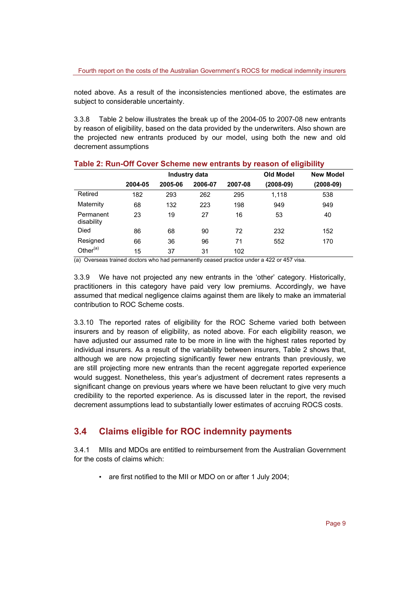noted above. As a result of the inconsistencies mentioned above, the estimates are subject to considerable uncertainty.

3.3.8 Table 2 below illustrates the break up of the 2004-05 to 2007-08 new entrants by reason of eligibility, based on the data provided by the underwriters. Also shown are the projected new entrants produced by our model, using both the new and old decrement assumptions

|                         |               |         |         | -       | -                |                  |
|-------------------------|---------------|---------|---------|---------|------------------|------------------|
|                         | Industry data |         |         |         | <b>Old Model</b> | <b>New Model</b> |
|                         | 2004-05       | 2005-06 | 2006-07 | 2007-08 | (2008-09)        | (2008-09)        |
| Retired                 | 182           | 293     | 262     | 295     | 1,118            | 538              |
| Maternity               | 68            | 132     | 223     | 198     | 949              | 949              |
| Permanent<br>disability | 23            | 19      | 27      | 16      | 53               | 40               |
| Died                    | 86            | 68      | 90      | 72      | 232              | 152              |
| Resigned                | 66            | 36      | 96      | 71      | 552              | 170              |
| Other <sup>(a)</sup>    | 15            | 37      | 31      | 102     |                  |                  |

#### **Table 2: Run-Off Cover Scheme new entrants by reason of eligibility**

(a) Overseas trained doctors who had permanently ceased practice under a 422 or 457 visa.

3.3.9 We have not projected any new entrants in the 'other' category. Historically, practitioners in this category have paid very low premiums. Accordingly, we have assumed that medical negligence claims against them are likely to make an immaterial contribution to ROC Scheme costs.

3.3.10 The reported rates of eligibility for the ROC Scheme varied both between insurers and by reason of eligibility, as noted above. For each eligibility reason, we have adjusted our assumed rate to be more in line with the highest rates reported by individual insurers. As a result of the variability between insurers, Table 2 shows that, although we are now projecting significantly fewer new entrants than previously, we are still projecting more new entrants than the recent aggregate reported experience would suggest. Nonetheless, this year's adjustment of decrement rates represents a significant change on previous years where we have been reluctant to give very much credibility to the reported experience. As is discussed later in the report, the revised decrement assumptions lead to substantially lower estimates of accruing ROCS costs.

## **3.4 Claims eligible for ROC indemnity payments**

3.4.1 MIIs and MDOs are entitled to reimbursement from the Australian Government for the costs of claims which:

• are first notified to the MII or MDO on or after 1 July 2004;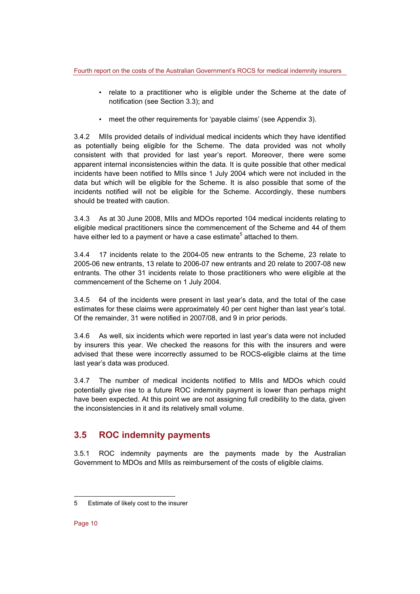- relate to a practitioner who is eligible under the Scheme at the date of notification (see Section 3.3); and
- meet the other requirements for 'payable claims' (see Appendix 3).

3.4.2 MIIs provided details of individual medical incidents which they have identified as potentially being eligible for the Scheme. The data provided was not wholly consistent with that provided for last year's report. Moreover, there were some apparent internal inconsistencies within the data. It is quite possible that other medical incidents have been notified to MIIs since 1 July 2004 which were not included in the data but which will be eligible for the Scheme. It is also possible that some of the incidents notified will not be eligible for the Scheme. Accordingly, these numbers should be treated with caution.

3.4.3 As at 30 June 2008, MIIs and MDOs reported 104 medical incidents relating to eligible medical practitioners since the commencement of the Scheme and 44 of them have either led to a payment or have a case estimate<sup>5</sup> attached to them.

3.4.4 17 incidents relate to the 2004-05 new entrants to the Scheme, 23 relate to 2005-06 new entrants, 13 relate to 2006-07 new entrants and 20 relate to 2007-08 new entrants. The other 31 incidents relate to those practitioners who were eligible at the commencement of the Scheme on 1 July 2004.

3.4.5 64 of the incidents were present in last year's data, and the total of the case estimates for these claims were approximately 40 per cent higher than last year's total. Of the remainder, 31 were notified in 2007/08, and 9 in prior periods.

3.4.6 As well, six incidents which were reported in last year's data were not included by insurers this year. We checked the reasons for this with the insurers and were advised that these were incorrectly assumed to be ROCS-eligible claims at the time last year's data was produced.

3.4.7 The number of medical incidents notified to MIIs and MDOs which could potentially give rise to a future ROC indemnity payment is lower than perhaps might have been expected. At this point we are not assigning full credibility to the data, given the inconsistencies in it and its relatively small volume.

## **3.5 ROC indemnity payments**

3.5.1 ROC indemnity payments are the payments made by the Australian Government to MDOs and MIIs as reimbursement of the costs of eligible claims.

l

<sup>5</sup> Estimate of likely cost to the insurer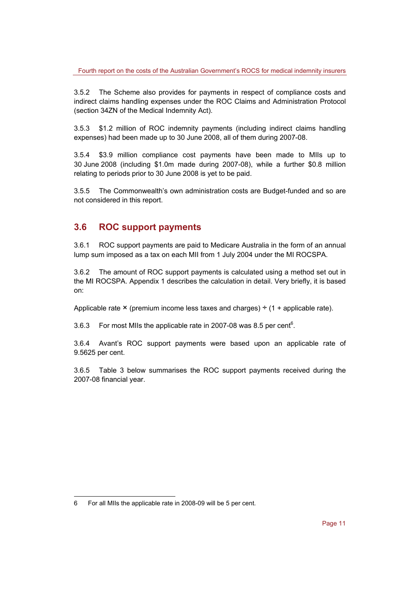3.5.2 The Scheme also provides for payments in respect of compliance costs and indirect claims handling expenses under the ROC Claims and Administration Protocol (section 34ZN of the Medical Indemnity Act).

3.5.3 \$1.2 million of ROC indemnity payments (including indirect claims handling expenses) had been made up to 30 June 2008, all of them during 2007-08.

3.5.4 \$3.9 million compliance cost payments have been made to MIIs up to 30 June 2008 (including \$1.0m made during 2007-08), while a further \$0.8 million relating to periods prior to 30 June 2008 is yet to be paid.

3.5.5 The Commonwealth's own administration costs are Budget-funded and so are not considered in this report.

## **3.6 ROC support payments**

3.6.1 ROC support payments are paid to Medicare Australia in the form of an annual lump sum imposed as a tax on each MII from 1 July 2004 under the MI ROCSPA.

3.6.2 The amount of ROC support payments is calculated using a method set out in the MI ROCSPA. Appendix 1 describes the calculation in detail. Very briefly, it is based on:

Applicable rate  $\times$  (premium income less taxes and charges)  $\div$  (1 + applicable rate).

3.6.3 For most MIIs the applicable rate in 2007-08 was 8.5 per cent<sup>6</sup>.

3.6.4 Avant's ROC support payments were based upon an applicable rate of 9.5625 per cent.

3.6.5 Table 3 below summarises the ROC support payments received during the 2007-08 financial year.

l

<sup>6</sup> For all MIIs the applicable rate in 2008-09 will be 5 per cent.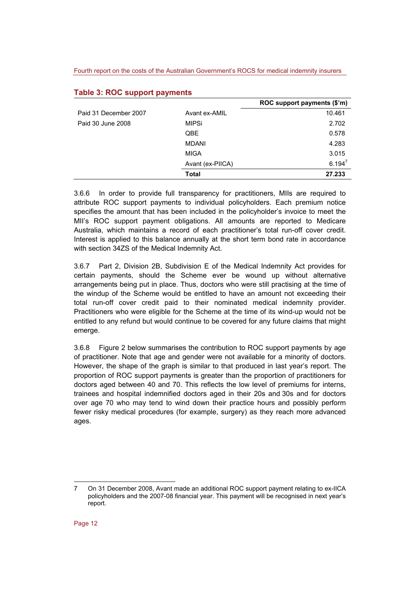|                       |                  | ROC support payments (\$'m) |
|-----------------------|------------------|-----------------------------|
| Paid 31 December 2007 | Avant ex-AMIL    | 10.461                      |
| Paid 30 June 2008     | <b>MIPSi</b>     | 2.702                       |
|                       | QBE              | 0.578                       |
|                       | MDANI            | 4.283                       |
|                       | <b>MIGA</b>      | 3.015                       |
|                       | Avant (ex-PIICA) | $6.194^{7}$                 |
|                       | Total            | 27.233                      |

#### **Table 3: ROC support payments**

3.6.6 In order to provide full transparency for practitioners, MIIs are required to attribute ROC support payments to individual policyholders. Each premium notice specifies the amount that has been included in the policyholder's invoice to meet the MII's ROC support payment obligations. All amounts are reported to Medicare Australia, which maintains a record of each practitioner's total run-off cover credit. Interest is applied to this balance annually at the short term bond rate in accordance with section 34ZS of the Medical Indemnity Act.

3.6.7 Part 2, Division 2B, Subdivision E of the Medical Indemnity Act provides for certain payments, should the Scheme ever be wound up without alternative arrangements being put in place. Thus, doctors who were still practising at the time of the windup of the Scheme would be entitled to have an amount not exceeding their total run-off cover credit paid to their nominated medical indemnity provider. Practitioners who were eligible for the Scheme at the time of its wind-up would not be entitled to any refund but would continue to be covered for any future claims that might emerge.

3.6.8 Figure 2 below summarises the contribution to ROC support payments by age of practitioner. Note that age and gender were not available for a minority of doctors. However, the shape of the graph is similar to that produced in last year's report. The proportion of ROC support payments is greater than the proportion of practitioners for doctors aged between 40 and 70. This reflects the low level of premiums for interns, trainees and hospital indemnified doctors aged in their 20s and 30s and for doctors over age 70 who may tend to wind down their practice hours and possibly perform fewer risky medical procedures (for example, surgery) as they reach more advanced ages.

l 7 On 31 December 2008, Avant made an additional ROC support payment relating to ex-IICA policyholders and the 2007-08 financial year. This payment will be recognised in next year's report.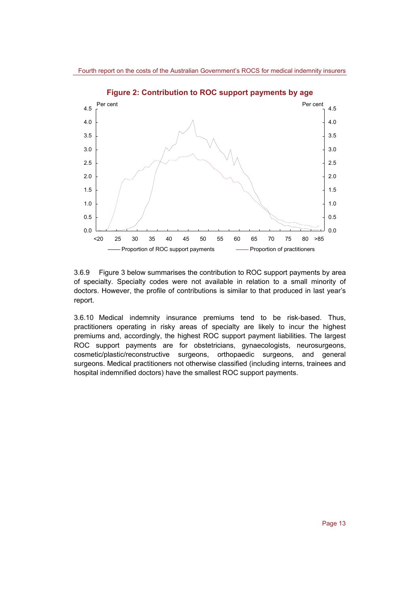

**Figure 2: Contribution to ROC support payments by age** 

3.6.9 Figure 3 below summarises the contribution to ROC support payments by area of specialty. Specialty codes were not available in relation to a small minority of doctors. However, the profile of contributions is similar to that produced in last year's report.

3.6.10 Medical indemnity insurance premiums tend to be risk-based. Thus, practitioners operating in risky areas of specialty are likely to incur the highest premiums and, accordingly, the highest ROC support payment liabilities. The largest ROC support payments are for obstetricians, gynaecologists, neurosurgeons, cosmetic/plastic/reconstructive surgeons, orthopaedic surgeons, and general surgeons. Medical practitioners not otherwise classified (including interns, trainees and hospital indemnified doctors) have the smallest ROC support payments.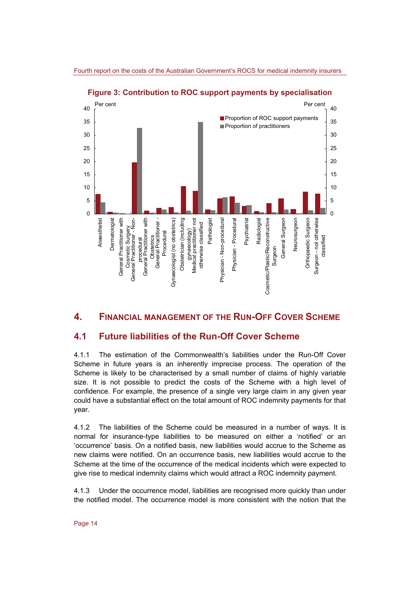

**Figure 3: Contribution to ROC support payments by specialisation** 

### **4. FINANCIAL MANAGEMENT OF THE RUN-OFF COVER SCHEME**

### **4.1 Future liabilities of the Run-Off Cover Scheme**

4.1.1 The estimation of the Commonwealth's liabilities under the Run-Off Cover Scheme in future years is an inherently imprecise process. The operation of the Scheme is likely to be characterised by a small number of claims of highly variable size. It is not possible to predict the costs of the Scheme with a high level of confidence. For example, the presence of a single very large claim in any given year could have a substantial effect on the total amount of ROC indemnity payments for that year.

4.1.2 The liabilities of the Scheme could be measured in a number of ways. It is normal for insurance-type liabilities to be measured on either a 'notified' or an 'occurrence' basis. On a notified basis, new liabilities would accrue to the Scheme as new claims were notified. On an occurrence basis, new liabilities would accrue to the Scheme at the time of the occurrence of the medical incidents which were expected to give rise to medical indemnity claims which would attract a ROC indemnity payment.

4.1.3 Under the occurrence model, liabilities are recognised more quickly than under the notified model. The occurrence model is more consistent with the notion that the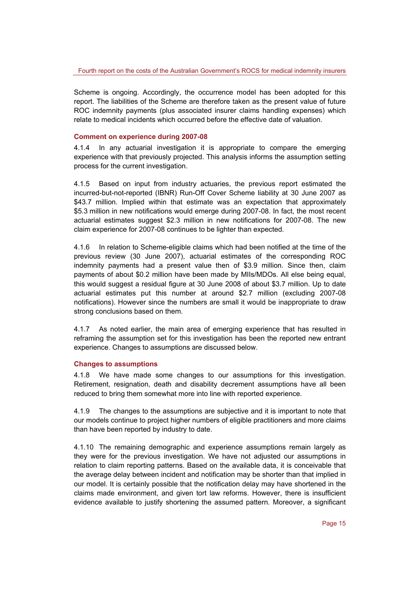Scheme is ongoing. Accordingly, the occurrence model has been adopted for this report. The liabilities of the Scheme are therefore taken as the present value of future ROC indemnity payments (plus associated insurer claims handling expenses) which relate to medical incidents which occurred before the effective date of valuation.

#### **Comment on experience during 2007-08**

4.1.4 In any actuarial investigation it is appropriate to compare the emerging experience with that previously projected. This analysis informs the assumption setting process for the current investigation.

4.1.5 Based on input from industry actuaries, the previous report estimated the incurred-but-not-reported (IBNR) Run-Off Cover Scheme liability at 30 June 2007 as \$43.7 million. Implied within that estimate was an expectation that approximately \$5.3 million in new notifications would emerge during 2007-08. In fact, the most recent actuarial estimates suggest \$2.3 million in new notifications for 2007-08. The new claim experience for 2007-08 continues to be lighter than expected.

4.1.6 In relation to Scheme-eligible claims which had been notified at the time of the previous review (30 June 2007), actuarial estimates of the corresponding ROC indemnity payments had a present value then of \$3.9 million. Since then, claim payments of about \$0.2 million have been made by MIIs/MDOs. All else being equal, this would suggest a residual figure at 30 June 2008 of about \$3.7 million. Up to date actuarial estimates put this number at around \$2.7 million (excluding 2007-08 notifications). However since the numbers are small it would be inappropriate to draw strong conclusions based on them.

4.1.7 As noted earlier, the main area of emerging experience that has resulted in reframing the assumption set for this investigation has been the reported new entrant experience. Changes to assumptions are discussed below.

#### **Changes to assumptions**

4.1.8 We have made some changes to our assumptions for this investigation. Retirement, resignation, death and disability decrement assumptions have all been reduced to bring them somewhat more into line with reported experience.

4.1.9 The changes to the assumptions are subjective and it is important to note that our models continue to project higher numbers of eligible practitioners and more claims than have been reported by industry to date.

4.1.10 The remaining demographic and experience assumptions remain largely as they were for the previous investigation. We have not adjusted our assumptions in relation to claim reporting patterns. Based on the available data, it is conceivable that the average delay between incident and notification may be shorter than that implied in our model. It is certainly possible that the notification delay may have shortened in the claims made environment, and given tort law reforms. However, there is insufficient evidence available to justify shortening the assumed pattern. Moreover, a significant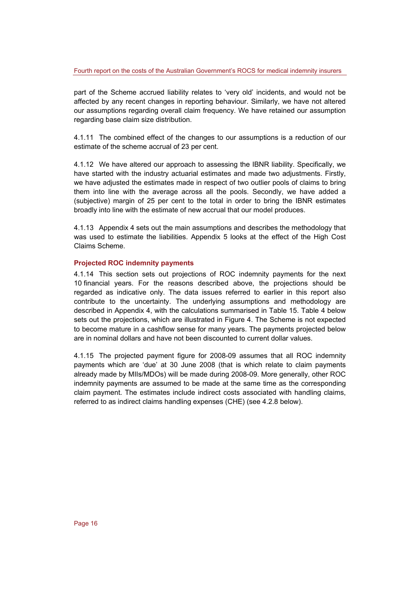part of the Scheme accrued liability relates to 'very old' incidents, and would not be affected by any recent changes in reporting behaviour. Similarly, we have not altered our assumptions regarding overall claim frequency. We have retained our assumption regarding base claim size distribution.

4.1.11 The combined effect of the changes to our assumptions is a reduction of our estimate of the scheme accrual of 23 per cent.

4.1.12 We have altered our approach to assessing the IBNR liability. Specifically, we have started with the industry actuarial estimates and made two adjustments. Firstly, we have adjusted the estimates made in respect of two outlier pools of claims to bring them into line with the average across all the pools. Secondly, we have added a (subjective) margin of 25 per cent to the total in order to bring the IBNR estimates broadly into line with the estimate of new accrual that our model produces.

4.1.13 Appendix 4 sets out the main assumptions and describes the methodology that was used to estimate the liabilities. Appendix 5 looks at the effect of the High Cost Claims Scheme.

#### **Projected ROC indemnity payments**

4.1.14 This section sets out projections of ROC indemnity payments for the next 10 financial years. For the reasons described above, the projections should be regarded as indicative only. The data issues referred to earlier in this report also contribute to the uncertainty. The underlying assumptions and methodology are described in Appendix 4, with the calculations summarised in Table 15. Table 4 below sets out the projections, which are illustrated in Figure 4. The Scheme is not expected to become mature in a cashflow sense for many years. The payments projected below are in nominal dollars and have not been discounted to current dollar values.

4.1.15 The projected payment figure for 2008-09 assumes that all ROC indemnity payments which are 'due' at 30 June 2008 (that is which relate to claim payments already made by MIIs/MDOs) will be made during 2008-09. More generally, other ROC indemnity payments are assumed to be made at the same time as the corresponding claim payment. The estimates include indirect costs associated with handling claims, referred to as indirect claims handling expenses (CHE) (see 4.2.8 below).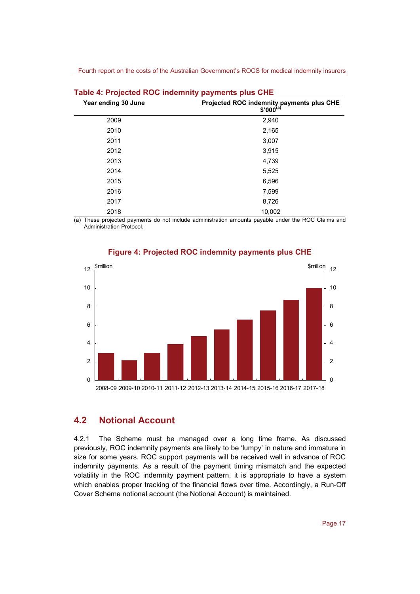| Year ending 30 June | Projected ROC indemnity payments plus CHE<br>$$'000^{(a)}$ |
|---------------------|------------------------------------------------------------|
| 2009                | 2,940                                                      |
| 2010                | 2,165                                                      |
| 2011                | 3,007                                                      |
| 2012                | 3,915                                                      |
| 2013                | 4,739                                                      |
| 2014                | 5,525                                                      |
| 2015                | 6,596                                                      |
| 2016                | 7,599                                                      |
| 2017                | 8,726                                                      |
| 2018                | 10,002                                                     |

| Table 4: Projected ROC indemnity payments plus CHE |  |  |  |  |
|----------------------------------------------------|--|--|--|--|
|----------------------------------------------------|--|--|--|--|

(a) These projected payments do not include administration amounts payable under the ROC Claims and Administration Protocol.



#### **Figure 4: Projected ROC indemnity payments plus CHE**

#### **4.2 Notional Account**

4.2.1 The Scheme must be managed over a long time frame. As discussed previously, ROC indemnity payments are likely to be 'lumpy' in nature and immature in size for some years. ROC support payments will be received well in advance of ROC indemnity payments. As a result of the payment timing mismatch and the expected volatility in the ROC indemnity payment pattern, it is appropriate to have a system which enables proper tracking of the financial flows over time. Accordingly, a Run-Off Cover Scheme notional account (the Notional Account) is maintained.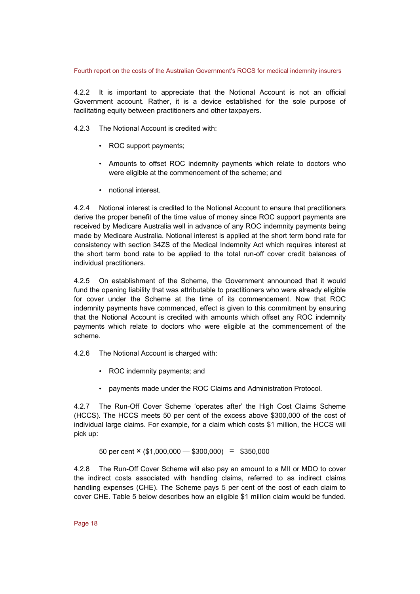4.2.2 It is important to appreciate that the Notional Account is not an official Government account. Rather, it is a device established for the sole purpose of facilitating equity between practitioners and other taxpayers.

- 4.2.3 The Notional Account is credited with:
	- ROC support payments;
	- Amounts to offset ROC indemnity payments which relate to doctors who were eligible at the commencement of the scheme; and
	- notional interest.

4.2.4 Notional interest is credited to the Notional Account to ensure that practitioners derive the proper benefit of the time value of money since ROC support payments are received by Medicare Australia well in advance of any ROC indemnity payments being made by Medicare Australia. Notional interest is applied at the short term bond rate for consistency with section 34ZS of the Medical Indemnity Act which requires interest at the short term bond rate to be applied to the total run-off cover credit balances of individual practitioners.

4.2.5 On establishment of the Scheme, the Government announced that it would fund the opening liability that was attributable to practitioners who were already eligible for cover under the Scheme at the time of its commencement. Now that ROC indemnity payments have commenced, effect is given to this commitment by ensuring that the Notional Account is credited with amounts which offset any ROC indemnity payments which relate to doctors who were eligible at the commencement of the scheme.

4.2.6 The Notional Account is charged with:

- ROC indemnity payments; and
- payments made under the ROC Claims and Administration Protocol.

4.2.7 The Run-Off Cover Scheme 'operates after' the High Cost Claims Scheme (HCCS). The HCCS meets 50 per cent of the excess above \$300,000 of the cost of individual large claims. For example, for a claim which costs \$1 million, the HCCS will pick up:

50 per cent  $\times$  (\$1,000,000 - \$300,000) = \$350,000

4.2.8 The Run-Off Cover Scheme will also pay an amount to a MII or MDO to cover the indirect costs associated with handling claims, referred to as indirect claims handling expenses (CHE). The Scheme pays 5 per cent of the cost of each claim to cover CHE. Table 5 below describes how an eligible \$1 million claim would be funded.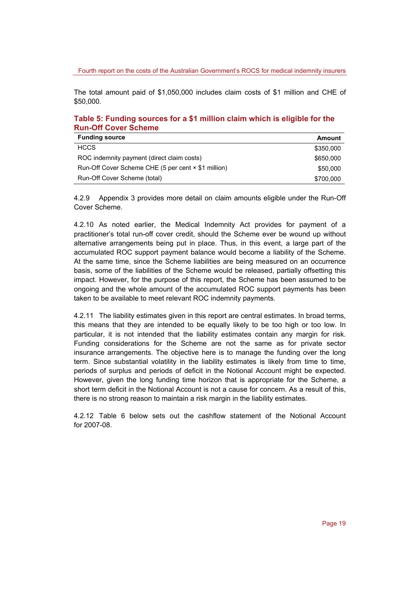The total amount paid of \$1,050,000 includes claim costs of \$1 million and CHE of \$50,000.

#### **Table 5: Funding sources for a \$1 million claim which is eligible for the Run-Off Cover Scheme**

| <b>Funding source</b>                               | Amount    |
|-----------------------------------------------------|-----------|
| <b>HCCS</b>                                         | \$350,000 |
| ROC indemnity payment (direct claim costs)          | \$650,000 |
| Run-Off Cover Scheme CHE (5 per cent × \$1 million) | \$50,000  |
| Run-Off Cover Scheme (total)                        | \$700,000 |

4.2.9 Appendix 3 provides more detail on claim amounts eligible under the Run-Off Cover Scheme.

4.2.10 As noted earlier, the Medical Indemnity Act provides for payment of a practitioner's total run-off cover credit, should the Scheme ever be wound up without alternative arrangements being put in place. Thus, in this event, a large part of the accumulated ROC support payment balance would become a liability of the Scheme. At the same time, since the Scheme liabilities are being measured on an occurrence basis, some of the liabilities of the Scheme would be released, partially offsetting this impact. However, for the purpose of this report, the Scheme has been assumed to be ongoing and the whole amount of the accumulated ROC support payments has been taken to be available to meet relevant ROC indemnity payments.

4.2.11 The liability estimates given in this report are central estimates. In broad terms, this means that they are intended to be equally likely to be too high or too low. In particular, it is not intended that the liability estimates contain any margin for risk. Funding considerations for the Scheme are not the same as for private sector insurance arrangements. The objective here is to manage the funding over the long term. Since substantial volatility in the liability estimates is likely from time to time, periods of surplus and periods of deficit in the Notional Account might be expected. However, given the long funding time horizon that is appropriate for the Scheme, a short term deficit in the Notional Account is not a cause for concern. As a result of this, there is no strong reason to maintain a risk margin in the liability estimates.

4.2.12 Table 6 below sets out the cashflow statement of the Notional Account for 2007-08.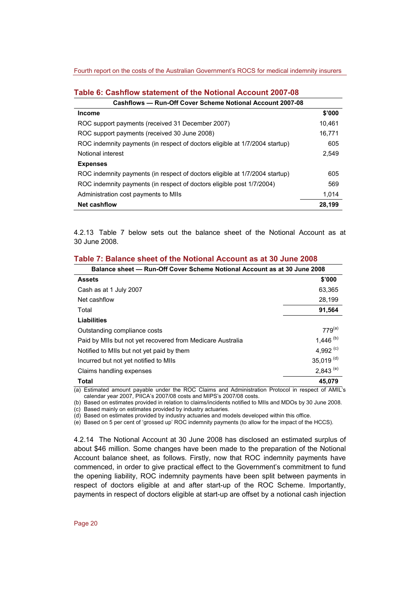| Cashflows — Run-Off Cover Scheme Notional Account 2007-08                   |        |
|-----------------------------------------------------------------------------|--------|
| <b>Income</b>                                                               | \$'000 |
| ROC support payments (received 31 December 2007)                            | 10.461 |
| ROC support payments (received 30 June 2008)                                | 16.771 |
| ROC indemnity payments (in respect of doctors eligible at 1/7/2004 startup) | 605    |
| Notional interest                                                           | 2.549  |
| <b>Expenses</b>                                                             |        |
| ROC indemnity payments (in respect of doctors eligible at 1/7/2004 startup) | 605    |
| ROC indemnity payments (in respect of doctors eligible post 1/7/2004)       | 569    |
| Administration cost payments to MIIs                                        | 1.014  |
| <b>Net cashflow</b>                                                         | 28,199 |

#### **Table 6: Cashflow statement of the Notional Account 2007-08**

4.2.13 Table 7 below sets out the balance sheet of the Notional Account as at 30 June 2008.

| Table 7: Balance sheet of the Notional Account as at 30 June 2008 |  |  |
|-------------------------------------------------------------------|--|--|
|-------------------------------------------------------------------|--|--|

| Balance sheet — Run-Off Cover Scheme Notional Account as at 30 June 2008 |               |  |  |  |
|--------------------------------------------------------------------------|---------------|--|--|--|
| <b>Assets</b>                                                            | \$'000        |  |  |  |
| Cash as at 1 July 2007                                                   | 63,365        |  |  |  |
| Net cashflow                                                             | 28.199        |  |  |  |
| Total                                                                    | 91,564        |  |  |  |
| Liabilities                                                              |               |  |  |  |
| Outstanding compliance costs                                             | $779^{(a)}$   |  |  |  |
| Paid by MIIs but not yet recovered from Medicare Australia               | 1,446 $(b)$   |  |  |  |
| Notified to MIIs but not yet paid by them                                | 4,992 $(c)$   |  |  |  |
| Incurred but not yet notified to MIIs                                    | 35,019 $(d)$  |  |  |  |
| Claims handling expenses                                                 | $2,843^{(e)}$ |  |  |  |
| <b>Total</b>                                                             | 45,079        |  |  |  |

(a) Estimated amount payable under the ROC Claims and Administration Protocol in respect of AMIL's calendar year 2007, PIICA's 2007/08 costs and MIPS's 2007/08 costs.

(b) Based on estimates provided in relation to claims/incidents notified to MIIs and MDOs by 30 June 2008. (c) Based mainly on estimates provided by industry actuaries.

(d) Based on estimates provided by industry actuaries and models developed within this office.

(e) Based on 5 per cent of 'grossed up' ROC indemnity payments (to allow for the impact of the HCCS).

4.2.14 The Notional Account at 30 June 2008 has disclosed an estimated surplus of about \$46 million. Some changes have been made to the preparation of the Notional Account balance sheet, as follows. Firstly, now that ROC indemnity payments have commenced, in order to give practical effect to the Government's commitment to fund the opening liability, ROC indemnity payments have been split between payments in respect of doctors eligible at and after start-up of the ROC Scheme. Importantly, payments in respect of doctors eligible at start-up are offset by a notional cash injection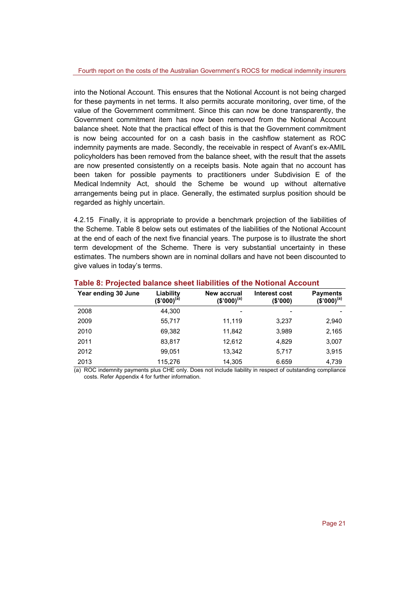into the Notional Account. This ensures that the Notional Account is not being charged for these payments in net terms. It also permits accurate monitoring, over time, of the value of the Government commitment. Since this can now be done transparently, the Government commitment item has now been removed from the Notional Account balance sheet. Note that the practical effect of this is that the Government commitment is now being accounted for on a cash basis in the cashflow statement as ROC indemnity payments are made. Secondly, the receivable in respect of Avant's ex-AMIL policyholders has been removed from the balance sheet, with the result that the assets are now presented consistently on a receipts basis. Note again that no account has been taken for possible payments to practitioners under Subdivision E of the Medical Indemnity Act, should the Scheme be wound up without alternative arrangements being put in place. Generally, the estimated surplus position should be regarded as highly uncertain.

4.2.15 Finally, it is appropriate to provide a benchmark projection of the liabilities of the Scheme. Table 8 below sets out estimates of the liabilities of the Notional Account at the end of each of the next five financial years. The purpose is to illustrate the short term development of the Scheme. There is very substantial uncertainty in these estimates. The numbers shown are in nominal dollars and have not been discounted to give values in today's terms.

| Year ending 30 June | Liability<br>(\$'000) <sup>(a)</sup> | New accrual<br>$(S'000)^{(a)}$ | Interest cost<br>(S'000) | <b>Payments</b><br>$(\bar{\$'}000)^{(a)}$ |
|---------------------|--------------------------------------|--------------------------------|--------------------------|-------------------------------------------|
| 2008                | 44.300                               |                                |                          |                                           |
| 2009                | 55.717                               | 11.119                         | 3.237                    | 2,940                                     |
| 2010                | 69,382                               | 11,842                         | 3,989                    | 2,165                                     |
| 2011                | 83,817                               | 12.612                         | 4,829                    | 3,007                                     |
| 2012                | 99.051                               | 13,342                         | 5,717                    | 3,915                                     |
| 2013                | 115,276                              | 14,305                         | 6.659                    | 4,739                                     |

#### **Table 8: Projected balance sheet liabilities of the Notional Account**

(a) ROC indemnity payments plus CHE only. Does not include liability in respect of outstanding compliance costs. Refer Appendix 4 for further information.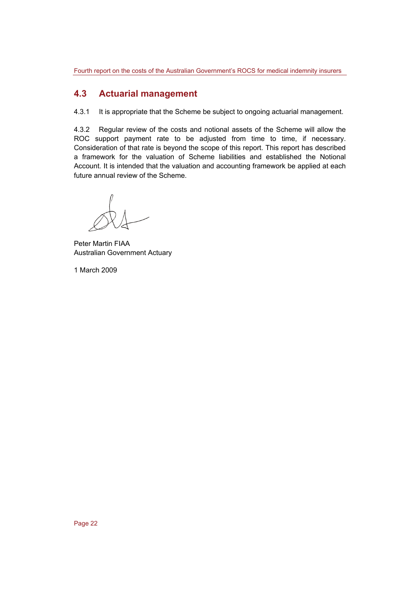## **4.3 Actuarial management**

4.3.1 It is appropriate that the Scheme be subject to ongoing actuarial management.

4.3.2 Regular review of the costs and notional assets of the Scheme will allow the ROC support payment rate to be adjusted from time to time, if necessary. Consideration of that rate is beyond the scope of this report. This report has described a framework for the valuation of Scheme liabilities and established the Notional Account. It is intended that the valuation and accounting framework be applied at each future annual review of the Scheme.

Peter Martin FIAA Australian Government Actuary

1 March 2009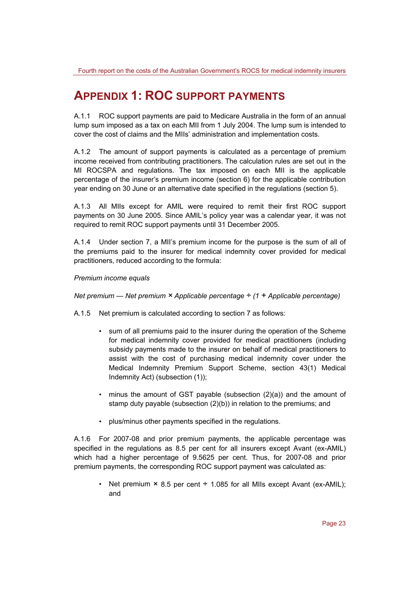## **APPENDIX 1: ROC SUPPORT PAYMENTS**

A.1.1 ROC support payments are paid to Medicare Australia in the form of an annual lump sum imposed as a tax on each MII from 1 July 2004. The lump sum is intended to cover the cost of claims and the MIIs' administration and implementation costs.

A.1.2 The amount of support payments is calculated as a percentage of premium income received from contributing practitioners. The calculation rules are set out in the MI ROCSPA and regulations. The tax imposed on each MII is the applicable percentage of the insurer's premium income (section 6) for the applicable contribution year ending on 30 June or an alternative date specified in the regulations (section 5).

A.1.3 All MIIs except for AMIL were required to remit their first ROC support payments on 30 June 2005. Since AMIL's policy year was a calendar year, it was not required to remit ROC support payments until 31 December 2005.

A.1.4 Under section 7, a MII's premium income for the purpose is the sum of all of the premiums paid to the insurer for medical indemnity cover provided for medical practitioners, reduced according to the formula:

*Premium income equals* 

*Net premium — Net premium × Applicable percentage ÷ (1 + Applicable percentage)* 

A.1.5 Net premium is calculated according to section 7 as follows:

- sum of all premiums paid to the insurer during the operation of the Scheme for medical indemnity cover provided for medical practitioners (including subsidy payments made to the insurer on behalf of medical practitioners to assist with the cost of purchasing medical indemnity cover under the Medical Indemnity Premium Support Scheme, section 43(1) Medical Indemnity Act) (subsection (1));
- minus the amount of GST payable (subsection (2)(a)) and the amount of stamp duty payable (subsection (2)(b)) in relation to the premiums; and
- plus/minus other payments specified in the regulations.

A.1.6 For 2007-08 and prior premium payments, the applicable percentage was specified in the regulations as 8.5 per cent for all insurers except Avant (ex-AMIL) which had a higher percentage of 9.5625 per cent. Thus, for 2007-08 and prior premium payments, the corresponding ROC support payment was calculated as:

• Net premium  $\times$  8.5 per cent  $\div$  1.085 for all MIIs except Avant (ex-AMIL); and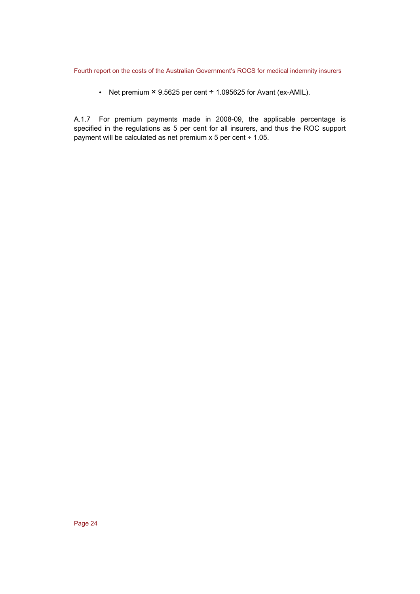• Net premium  $\times$  9.5625 per cent  $\div$  1.095625 for Avant (ex-AMIL).

A.1.7 For premium payments made in 2008-09, the applicable percentage is specified in the regulations as 5 per cent for all insurers, and thus the ROC support payment will be calculated as net premium x 5 per cent ÷ 1.05.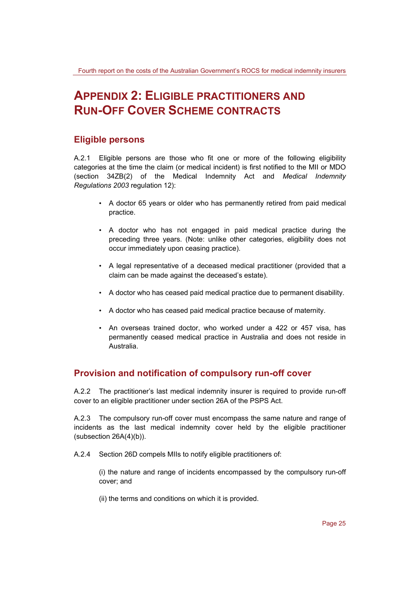## **APPENDIX 2: ELIGIBLE PRACTITIONERS AND RUN-OFF COVER SCHEME CONTRACTS**

## **Eligible persons**

A.2.1 Eligible persons are those who fit one or more of the following eligibility categories at the time the claim (or medical incident) is first notified to the MII or MDO (section 34ZB(2) of the Medical Indemnity Act and *Medical Indemnity Regulations 2003* regulation 12):

- A doctor 65 years or older who has permanently retired from paid medical practice.
- A doctor who has not engaged in paid medical practice during the preceding three years. (Note: unlike other categories, eligibility does not occur immediately upon ceasing practice).
- A legal representative of a deceased medical practitioner (provided that a claim can be made against the deceased's estate).
- A doctor who has ceased paid medical practice due to permanent disability.
- A doctor who has ceased paid medical practice because of maternity.
- An overseas trained doctor, who worked under a 422 or 457 visa, has permanently ceased medical practice in Australia and does not reside in Australia.

### **Provision and notification of compulsory run-off cover**

A.2.2 The practitioner's last medical indemnity insurer is required to provide run-off cover to an eligible practitioner under section 26A of the PSPS Act.

A.2.3 The compulsory run-off cover must encompass the same nature and range of incidents as the last medical indemnity cover held by the eligible practitioner (subsection 26A(4)(b)).

A.2.4 Section 26D compels MIIs to notify eligible practitioners of:

(i) the nature and range of incidents encompassed by the compulsory run-off cover; and

(ii) the terms and conditions on which it is provided.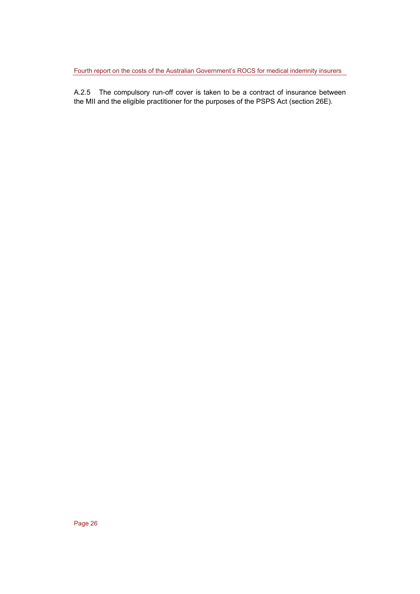A.2.5 The compulsory run-off cover is taken to be a contract of insurance between the MII and the eligible practitioner for the purposes of the PSPS Act (section 26E).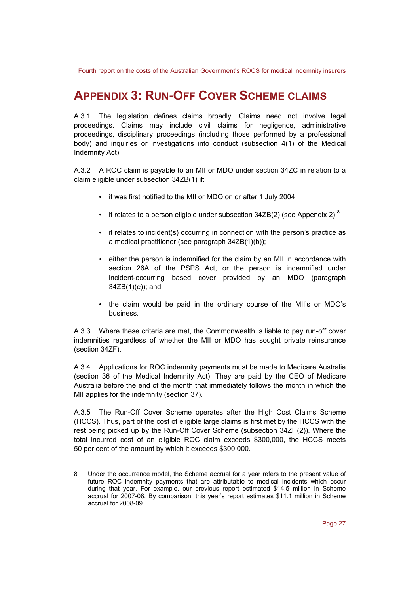## **APPENDIX 3: RUN-OFF COVER SCHEME CLAIMS**

A.3.1 The legislation defines claims broadly. Claims need not involve legal proceedings. Claims may include civil claims for negligence, administrative proceedings, disciplinary proceedings (including those performed by a professional body) and inquiries or investigations into conduct (subsection 4(1) of the Medical Indemnity Act).

A.3.2 A ROC claim is payable to an MII or MDO under section 34ZC in relation to a claim eligible under subsection 34ZB(1) if:

- it was first notified to the MII or MDO on or after 1 July 2004;
- it relates to a person eligible under subsection  $34ZB(2)$  (see Appendix 2);<sup>8</sup>
- it relates to incident(s) occurring in connection with the person's practice as a medical practitioner (see paragraph 34ZB(1)(b));
- either the person is indemnified for the claim by an MII in accordance with section 26A of the PSPS Act, or the person is indemnified under incident-occurring based cover provided by an MDO (paragraph 34ZB(1)(e)); and
- the claim would be paid in the ordinary course of the MII's or MDO's business.

A.3.3 Where these criteria are met, the Commonwealth is liable to pay run-off cover indemnities regardless of whether the MII or MDO has sought private reinsurance (section 34ZF).

A.3.4 Applications for ROC indemnity payments must be made to Medicare Australia (section 36 of the Medical Indemnity Act). They are paid by the CEO of Medicare Australia before the end of the month that immediately follows the month in which the MII applies for the indemnity (section 37).

A.3.5 The Run-Off Cover Scheme operates after the High Cost Claims Scheme (HCCS). Thus, part of the cost of eligible large claims is first met by the HCCS with the rest being picked up by the Run-Off Cover Scheme (subsection 34ZH(2)). Where the total incurred cost of an eligible ROC claim exceeds \$300,000, the HCCS meets 50 per cent of the amount by which it exceeds \$300,000.

l

<sup>8</sup> Under the occurrence model, the Scheme accrual for a year refers to the present value of future ROC indemnity payments that are attributable to medical incidents which occur during that year. For example, our previous report estimated \$14.5 million in Scheme accrual for 2007-08. By comparison, this year's report estimates \$11.1 million in Scheme accrual for 2008-09.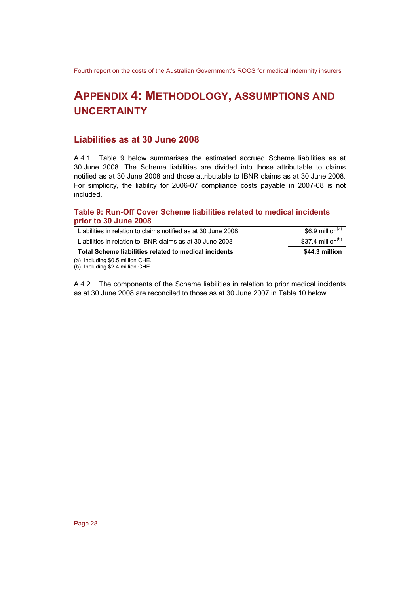## **APPENDIX 4: METHODOLOGY, ASSUMPTIONS AND UNCERTAINTY**

## **Liabilities as at 30 June 2008**

A.4.1 Table 9 below summarises the estimated accrued Scheme liabilities as at 30 June 2008. The Scheme liabilities are divided into those attributable to claims notified as at 30 June 2008 and those attributable to IBNR claims as at 30 June 2008. For simplicity, the liability for 2006-07 compliance costs payable in 2007-08 is not included.

#### **Table 9: Run-Off Cover Scheme liabilities related to medical incidents prior to 30 June 2008**

| (a) Including \$0.5 million CHE.                              |                              |
|---------------------------------------------------------------|------------------------------|
| Total Scheme liabilities related to medical incidents         | \$44.3 million               |
| Liabilities in relation to IBNR claims as at 30 June 2008     | \$37.4 million $(b)$         |
| Liabilities in relation to claims notified as at 30 June 2008 | \$6.9 million <sup>(a)</sup> |

(b) Including \$2.4 million CHE.

A.4.2 The components of the Scheme liabilities in relation to prior medical incidents as at 30 June 2008 are reconciled to those as at 30 June 2007 in Table 10 below.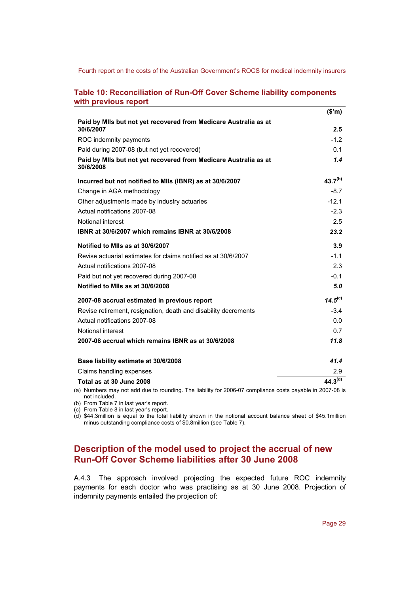#### **Table 10: Reconciliation of Run-Off Cover Scheme liability components with previous report**

|                                                                                                           | (\$m)               |
|-----------------------------------------------------------------------------------------------------------|---------------------|
| Paid by MIIs but not yet recovered from Medicare Australia as at<br>30/6/2007                             | 2.5                 |
| ROC indemnity payments                                                                                    | $-1.2$              |
| Paid during 2007-08 (but not yet recovered)                                                               | 0.1                 |
|                                                                                                           | 1.4                 |
| Paid by MIIs but not yet recovered from Medicare Australia as at<br>30/6/2008                             |                     |
| Incurred but not notified to MIIs (IBNR) as at 30/6/2007                                                  | $43.7^{(b)}$        |
| Change in AGA methodology                                                                                 | $-8.7$              |
| Other adjustments made by industry actuaries                                                              | $-12.1$             |
| Actual notifications 2007-08                                                                              | $-2.3$              |
| Notional interest                                                                                         | 2.5                 |
| IBNR at 30/6/2007 which remains IBNR at 30/6/2008                                                         | 23.2                |
| Notified to MIIs as at 30/6/2007                                                                          | 3.9                 |
| Revise actuarial estimates for claims notified as at 30/6/2007                                            | $-1.1$              |
| Actual notifications 2007-08                                                                              | 2.3                 |
| Paid but not yet recovered during 2007-08                                                                 | $-0.1$              |
| Notified to MIIs as at 30/6/2008                                                                          | 5.0                 |
| 2007-08 accrual estimated in previous report                                                              | $14.5^{(c)}$        |
| Revise retirement, resignation, death and disability decrements                                           | $-3.4$              |
| Actual notifications 2007-08                                                                              | 0.0                 |
| Notional interest                                                                                         | 0.7                 |
| 2007-08 accrual which remains IBNR as at 30/6/2008                                                        | 11.8                |
| Base liability estimate at 30/6/2008                                                                      | 41.4                |
| Claims handling expenses                                                                                  | 2.9                 |
| Total as at 30 June 2008                                                                                  | 44.3 <sup>(d)</sup> |
| (a) Numbers may not add due to rounding. The liability for 2006-07 compliance costs payable in 2007-08 is |                     |

not included.

(b) From Table 7 in last year's report.

(c) From Table 8 in last year's report.

(d) \$44.3million is equal to the total liability shown in the notional account balance sheet of \$45.1million minus outstanding compliance costs of \$0.8million (see Table 7).

## **Description of the model used to project the accrual of new Run-Off Cover Scheme liabilities after 30 June 2008**

A.4.3 The approach involved projecting the expected future ROC indemnity payments for each doctor who was practising as at 30 June 2008. Projection of indemnity payments entailed the projection of: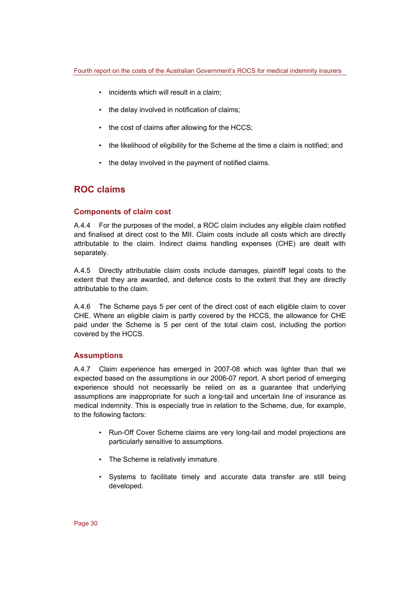- incidents which will result in a claim;
- the delay involved in notification of claims;
- the cost of claims after allowing for the HCCS;
- the likelihood of eligibility for the Scheme at the time a claim is notified; and
- the delay involved in the payment of notified claims.

## **ROC claims**

#### **Components of claim cost**

A.4.4 For the purposes of the model, a ROC claim includes any eligible claim notified and finalised at direct cost to the MII. Claim costs include all costs which are directly attributable to the claim. Indirect claims handling expenses (CHE) are dealt with separately.

A.4.5 Directly attributable claim costs include damages, plaintiff legal costs to the extent that they are awarded, and defence costs to the extent that they are directly attributable to the claim.

A.4.6 The Scheme pays 5 per cent of the direct cost of each eligible claim to cover CHE. Where an eligible claim is partly covered by the HCCS, the allowance for CHE paid under the Scheme is 5 per cent of the total claim cost, including the portion covered by the HCCS.

#### **Assumptions**

A.4.7 Claim experience has emerged in 2007-08 which was lighter than that we expected based on the assumptions in our 2006-07 report. A short period of emerging experience should not necessarily be relied on as a guarantee that underlying assumptions are inappropriate for such a long-tail and uncertain line of insurance as medical indemnity. This is especially true in relation to the Scheme, due, for example, to the following factors:

- Run-Off Cover Scheme claims are very long-tail and model projections are particularly sensitive to assumptions.
- The Scheme is relatively immature.
- Systems to facilitate timely and accurate data transfer are still being developed.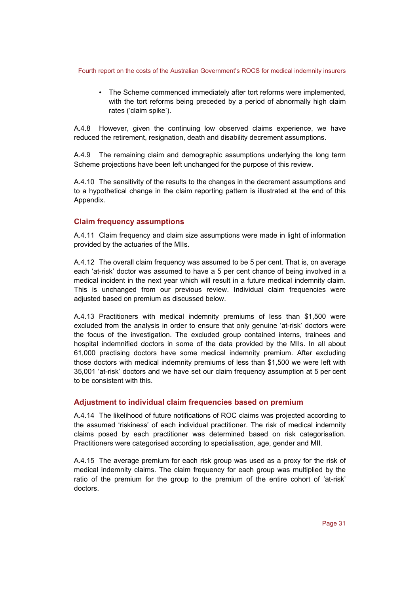• The Scheme commenced immediately after tort reforms were implemented, with the tort reforms being preceded by a period of abnormally high claim rates ('claim spike').

A.4.8 However, given the continuing low observed claims experience, we have reduced the retirement, resignation, death and disability decrement assumptions.

A.4.9 The remaining claim and demographic assumptions underlying the long term Scheme projections have been left unchanged for the purpose of this review.

A.4.10 The sensitivity of the results to the changes in the decrement assumptions and to a hypothetical change in the claim reporting pattern is illustrated at the end of this Appendix.

#### **Claim frequency assumptions**

A.4.11 Claim frequency and claim size assumptions were made in light of information provided by the actuaries of the MIIs.

A.4.12 The overall claim frequency was assumed to be 5 per cent. That is, on average each 'at-risk' doctor was assumed to have a 5 per cent chance of being involved in a medical incident in the next year which will result in a future medical indemnity claim. This is unchanged from our previous review. Individual claim frequencies were adjusted based on premium as discussed below.

A.4.13 Practitioners with medical indemnity premiums of less than \$1,500 were excluded from the analysis in order to ensure that only genuine 'at-risk' doctors were the focus of the investigation. The excluded group contained interns, trainees and hospital indemnified doctors in some of the data provided by the MIIs. In all about 61,000 practising doctors have some medical indemnity premium. After excluding those doctors with medical indemnity premiums of less than \$1,500 we were left with 35,001 'at-risk' doctors and we have set our claim frequency assumption at 5 per cent to be consistent with this.

#### **Adjustment to individual claim frequencies based on premium**

A.4.14 The likelihood of future notifications of ROC claims was projected according to the assumed 'riskiness' of each individual practitioner. The risk of medical indemnity claims posed by each practitioner was determined based on risk categorisation. Practitioners were categorised according to specialisation, age, gender and MII.

A.4.15 The average premium for each risk group was used as a proxy for the risk of medical indemnity claims. The claim frequency for each group was multiplied by the ratio of the premium for the group to the premium of the entire cohort of 'at-risk' doctors.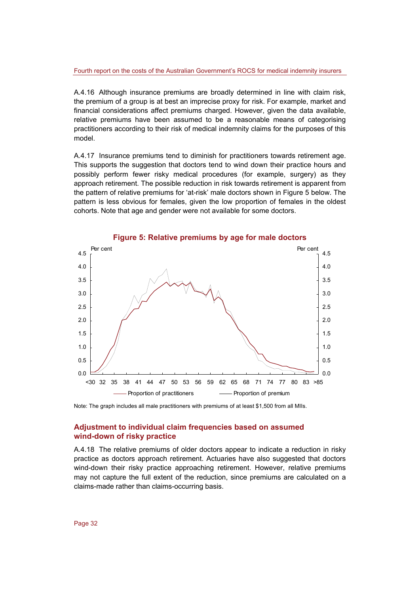A.4.16 Although insurance premiums are broadly determined in line with claim risk, the premium of a group is at best an imprecise proxy for risk. For example, market and financial considerations affect premiums charged. However, given the data available, relative premiums have been assumed to be a reasonable means of categorising practitioners according to their risk of medical indemnity claims for the purposes of this model.

A.4.17 Insurance premiums tend to diminish for practitioners towards retirement age. This supports the suggestion that doctors tend to wind down their practice hours and possibly perform fewer risky medical procedures (for example, surgery) as they approach retirement. The possible reduction in risk towards retirement is apparent from the pattern of relative premiums for 'at-risk' male doctors shown in Figure 5 below. The pattern is less obvious for females, given the low proportion of females in the oldest cohorts. Note that age and gender were not available for some doctors.



**Figure 5: Relative premiums by age for male doctors** 

Note: The graph includes all male practitioners with premiums of at least \$1,500 from all MIIs.

#### **Adjustment to individual claim frequencies based on assumed wind-down of risky practice**

A.4.18 The relative premiums of older doctors appear to indicate a reduction in risky practice as doctors approach retirement. Actuaries have also suggested that doctors wind-down their risky practice approaching retirement. However, relative premiums may not capture the full extent of the reduction, since premiums are calculated on a claims-made rather than claims-occurring basis.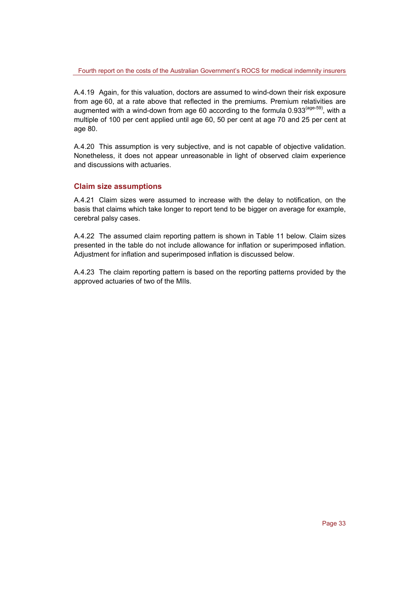A.4.19 Again, for this valuation, doctors are assumed to wind-down their risk exposure from age 60, at a rate above that reflected in the premiums. Premium relativities are augmented with a wind-down from age 60 according to the formula  $0.933^{(age-59)}$ , with a multiple of 100 per cent applied until age 60, 50 per cent at age 70 and 25 per cent at age 80.

A.4.20 This assumption is very subjective, and is not capable of objective validation. Nonetheless, it does not appear unreasonable in light of observed claim experience and discussions with actuaries.

#### **Claim size assumptions**

A.4.21 Claim sizes were assumed to increase with the delay to notification, on the basis that claims which take longer to report tend to be bigger on average for example, cerebral palsy cases.

A.4.22 The assumed claim reporting pattern is shown in Table 11 below. Claim sizes presented in the table do not include allowance for inflation or superimposed inflation. Adjustment for inflation and superimposed inflation is discussed below.

A.4.23 The claim reporting pattern is based on the reporting patterns provided by the approved actuaries of two of the MIIs.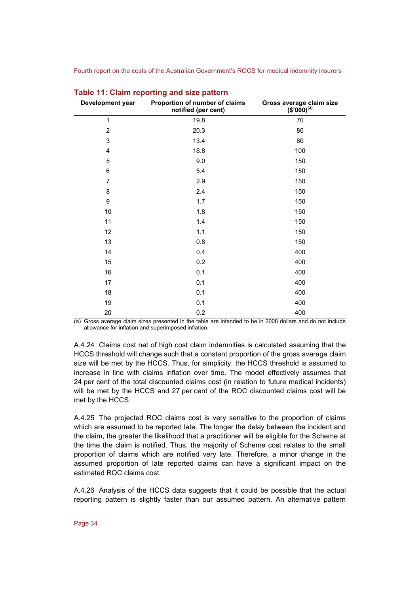| Development year | Proportion of number of claims<br>notified (per cent) | Gross average claim size $(3'000)^{(a)}$ |
|------------------|-------------------------------------------------------|------------------------------------------|
| 1                | 19.8                                                  | 70                                       |
| $\overline{2}$   | 20.3                                                  | 80                                       |
| 3                | 13.4                                                  | 80                                       |
| 4                | 18.8                                                  | 100                                      |
| 5                | 9.0                                                   | 150                                      |
| 6                | 5.4                                                   | 150                                      |
| $\overline{7}$   | 2.9                                                   | 150                                      |
| 8                | 2.4                                                   | 150                                      |
| 9                | 1.7                                                   | 150                                      |
| 10               | 1.8                                                   | 150                                      |
| 11               | 1.4                                                   | 150                                      |
| 12               | 1.1                                                   | 150                                      |
| 13               | 0.8                                                   | 150                                      |
| 14               | 0.4                                                   | 400                                      |
| 15               | 0.2                                                   | 400                                      |
| 16               | 0.1                                                   | 400                                      |
| 17               | 0.1                                                   | 400                                      |
| 18               | 0.1                                                   | 400                                      |
| 19               | 0.1                                                   | 400                                      |
| 20               | 0.2                                                   | 400                                      |

| Table 11: Claim reporting and size pattern |  |  |  |  |  |  |  |  |
|--------------------------------------------|--|--|--|--|--|--|--|--|
|--------------------------------------------|--|--|--|--|--|--|--|--|

(a) Gross average claim sizes presented in the table are intended to be in 2008 dollars and do not include allowance for inflation and superimposed inflation.

A.4.24 Claims cost net of high cost claim indemnities is calculated assuming that the HCCS threshold will change such that a constant proportion of the gross average claim size will be met by the HCCS. Thus, for simplicity, the HCCS threshold is assumed to increase in line with claims inflation over time. The model effectively assumes that 24 per cent of the total discounted claims cost (in relation to future medical incidents) will be met by the HCCS and 27 per cent of the ROC discounted claims cost will be met by the HCCS.

A.4.25 The projected ROC claims cost is very sensitive to the proportion of claims which are assumed to be reported late. The longer the delay between the incident and the claim, the greater the likelihood that a practitioner will be eligible for the Scheme at the time the claim is notified. Thus, the majority of Scheme cost relates to the small proportion of claims which are notified very late. Therefore, a minor change in the assumed proportion of late reported claims can have a significant impact on the estimated ROC claims cost.

A.4.26 Analysis of the HCCS data suggests that it could be possible that the actual reporting pattern is slightly faster than our assumed pattern. An alternative pattern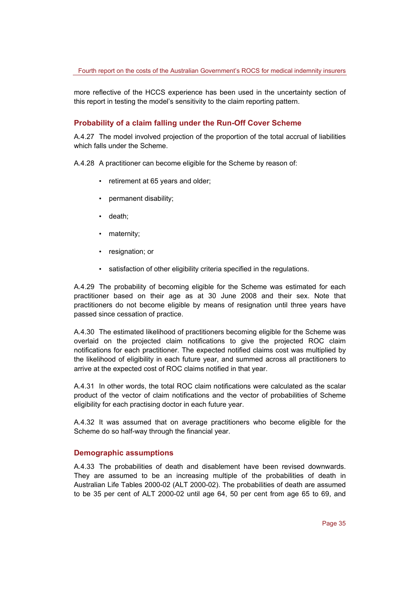more reflective of the HCCS experience has been used in the uncertainty section of this report in testing the model's sensitivity to the claim reporting pattern.

#### **Probability of a claim falling under the Run-Off Cover Scheme**

A.4.27 The model involved projection of the proportion of the total accrual of liabilities which falls under the Scheme.

A.4.28 A practitioner can become eligible for the Scheme by reason of:

- retirement at 65 years and older;
- permanent disability;
- death;
- maternity;
- resignation; or
- satisfaction of other eligibility criteria specified in the regulations.

A.4.29 The probability of becoming eligible for the Scheme was estimated for each practitioner based on their age as at 30 June 2008 and their sex. Note that practitioners do not become eligible by means of resignation until three years have passed since cessation of practice.

A.4.30 The estimated likelihood of practitioners becoming eligible for the Scheme was overlaid on the projected claim notifications to give the projected ROC claim notifications for each practitioner. The expected notified claims cost was multiplied by the likelihood of eligibility in each future year, and summed across all practitioners to arrive at the expected cost of ROC claims notified in that year.

A.4.31 In other words, the total ROC claim notifications were calculated as the scalar product of the vector of claim notifications and the vector of probabilities of Scheme eligibility for each practising doctor in each future year.

A.4.32 It was assumed that on average practitioners who become eligible for the Scheme do so half-way through the financial year.

#### **Demographic assumptions**

A.4.33 The probabilities of death and disablement have been revised downwards. They are assumed to be an increasing multiple of the probabilities of death in Australian Life Tables 2000-02 (ALT 2000-02). The probabilities of death are assumed to be 35 per cent of ALT 2000-02 until age 64, 50 per cent from age 65 to 69, and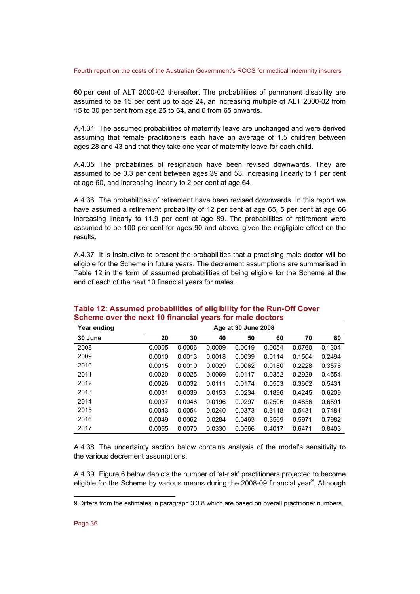60 per cent of ALT 2000-02 thereafter. The probabilities of permanent disability are assumed to be 15 per cent up to age 24, an increasing multiple of ALT 2000-02 from 15 to 30 per cent from age 25 to 64, and 0 from 65 onwards.

A.4.34 The assumed probabilities of maternity leave are unchanged and were derived assuming that female practitioners each have an average of 1.5 children between ages 28 and 43 and that they take one year of maternity leave for each child.

A.4.35 The probabilities of resignation have been revised downwards. They are assumed to be 0.3 per cent between ages 39 and 53, increasing linearly to 1 per cent at age 60, and increasing linearly to 2 per cent at age 64.

A.4.36 The probabilities of retirement have been revised downwards. In this report we have assumed a retirement probability of 12 per cent at age 65, 5 per cent at age 66 increasing linearly to 11.9 per cent at age 89. The probabilities of retirement were assumed to be 100 per cent for ages 90 and above, given the negligible effect on the results.

A.4.37 It is instructive to present the probabilities that a practising male doctor will be eligible for the Scheme in future years. The decrement assumptions are summarised in Table 12 in the form of assumed probabilities of being eligible for the Scheme at the end of each of the next 10 financial years for males.

| Year ending |        |        |        | Age at 30 June 2008 |        |        |        |
|-------------|--------|--------|--------|---------------------|--------|--------|--------|
| 30 June     | 20     | 30     | 40     | 50                  | 60     | 70     | 80     |
| 2008        | 0.0005 | 0.0006 | 0.0009 | 0.0019              | 0.0054 | 0.0760 | 0.1304 |
| 2009        | 0.0010 | 0.0013 | 0.0018 | 0.0039              | 0.0114 | 0.1504 | 0.2494 |
| 2010        | 0.0015 | 0.0019 | 0.0029 | 0.0062              | 0.0180 | 0.2228 | 0.3576 |
| 2011        | 0.0020 | 0.0025 | 0.0069 | 0.0117              | 0.0352 | 0.2929 | 0.4554 |
| 2012        | 0.0026 | 0.0032 | 0.0111 | 0.0174              | 0.0553 | 0.3602 | 0.5431 |
| 2013        | 0.0031 | 0.0039 | 0.0153 | 0.0234              | 0.1896 | 0.4245 | 0.6209 |
| 2014        | 0.0037 | 0.0046 | 0.0196 | 0.0297              | 0.2506 | 0.4856 | 0.6891 |
| 2015        | 0.0043 | 0.0054 | 0.0240 | 0.0373              | 0.3118 | 0.5431 | 0.7481 |
| 2016        | 0.0049 | 0.0062 | 0.0284 | 0.0463              | 0.3569 | 0.5971 | 0.7982 |
| 2017        | 0.0055 | 0.0070 | 0.0330 | 0.0566              | 0.4017 | 0.6471 | 0.8403 |

#### **Table 12: Assumed probabilities of eligibility for the Run-Off Cover Scheme over the next 10 financial years for male doctors**

A.4.38 The uncertainty section below contains analysis of the model's sensitivity to the various decrement assumptions.

A.4.39 Figure 6 below depicts the number of 'at-risk' practitioners projected to become eligible for the Scheme by various means during the 2008-09 financial year<sup>9</sup>. Although

l

<sup>9</sup> Differs from the estimates in paragraph 3.3.8 which are based on overall practitioner numbers.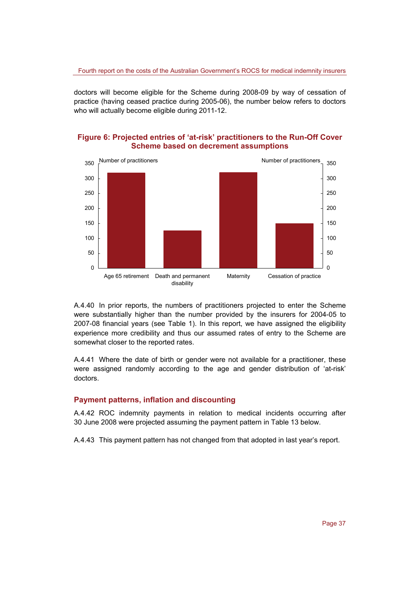doctors will become eligible for the Scheme during 2008-09 by way of cessation of practice (having ceased practice during 2005-06), the number below refers to doctors who will actually become eligible during 2011-12.

#### **Figure 6: Projected entries of 'at-risk' practitioners to the Run-Off Cover Scheme based on decrement assumptions**



A.4.40 In prior reports, the numbers of practitioners projected to enter the Scheme were substantially higher than the number provided by the insurers for 2004-05 to 2007-08 financial years (see Table 1). In this report, we have assigned the eligibility experience more credibility and thus our assumed rates of entry to the Scheme are somewhat closer to the reported rates.

A.4.41 Where the date of birth or gender were not available for a practitioner, these were assigned randomly according to the age and gender distribution of 'at-risk' doctors.

#### **Payment patterns, inflation and discounting**

A.4.42 ROC indemnity payments in relation to medical incidents occurring after 30 June 2008 were projected assuming the payment pattern in Table 13 below.

A.4.43 This payment pattern has not changed from that adopted in last year's report.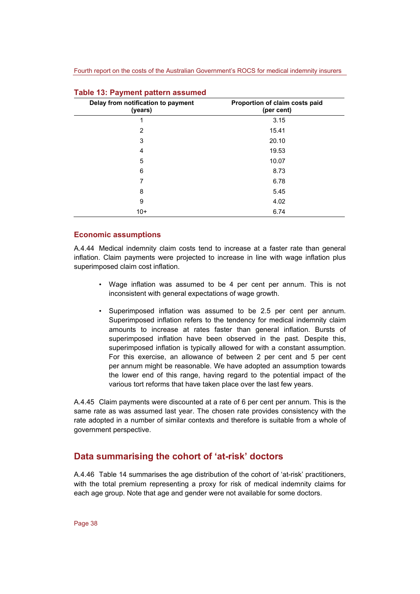| Delay from notification to payment<br>(years) | Proportion of claim costs paid<br>(per cent) |
|-----------------------------------------------|----------------------------------------------|
| 1                                             | 3.15                                         |
| 2                                             | 15.41                                        |
| 3                                             | 20.10                                        |
| 4                                             | 19.53                                        |
| 5                                             | 10.07                                        |
| 6                                             | 8.73                                         |
| 7                                             | 6.78                                         |
| 8                                             | 5.45                                         |
| 9                                             | 4.02                                         |
| $10+$                                         | 6.74                                         |

#### **Table 13: Payment pattern assumed**

#### **Economic assumptions**

A.4.44 Medical indemnity claim costs tend to increase at a faster rate than general inflation. Claim payments were projected to increase in line with wage inflation plus superimposed claim cost inflation.

- Wage inflation was assumed to be 4 per cent per annum. This is not inconsistent with general expectations of wage growth.
- Superimposed inflation was assumed to be 2.5 per cent per annum. Superimposed inflation refers to the tendency for medical indemnity claim amounts to increase at rates faster than general inflation. Bursts of superimposed inflation have been observed in the past. Despite this, superimposed inflation is typically allowed for with a constant assumption. For this exercise, an allowance of between 2 per cent and 5 per cent per annum might be reasonable. We have adopted an assumption towards the lower end of this range, having regard to the potential impact of the various tort reforms that have taken place over the last few years.

A.4.45 Claim payments were discounted at a rate of 6 per cent per annum. This is the same rate as was assumed last year. The chosen rate provides consistency with the rate adopted in a number of similar contexts and therefore is suitable from a whole of government perspective.

#### **Data summarising the cohort of 'at-risk' doctors**

A.4.46 Table 14 summarises the age distribution of the cohort of 'at-risk' practitioners, with the total premium representing a proxy for risk of medical indemnity claims for each age group. Note that age and gender were not available for some doctors.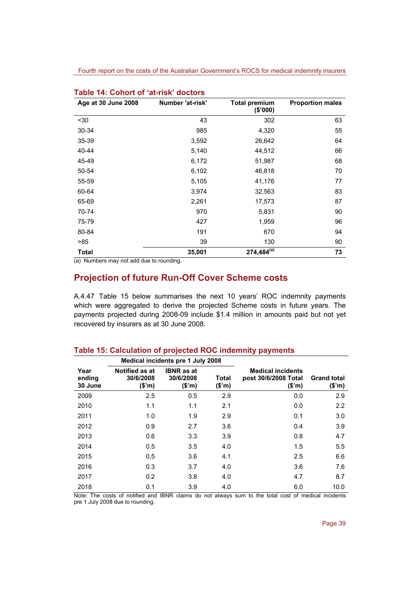| Age at 30 June 2008 | Number 'at-risk' | <b>Total premium</b><br>(\$'000) | <b>Proportion males</b> |
|---------------------|------------------|----------------------------------|-------------------------|
| $30$                | 43               | 302                              | 63                      |
| 30-34               | 985              | 4,320                            | 55                      |
| 35-39               | 3,592            | 26,642                           | 64                      |
| 40-44               | 5,140            | 44,512                           | 66                      |
| 45-49               | 6,172            | 51,987                           | 68                      |
| 50-54               | 6,102            | 46,818                           | 70                      |
| 55-59               | 5,105            | 41,176                           | 77                      |
| 60-64               | 3,974            | 32,563                           | 83                      |
| 65-69               | 2,261            | 17,573                           | 87                      |
| 70-74               | 970              | 5,831                            | 90                      |
| 75-79               | 427              | 1,959                            | 96                      |
| 80-84               | 191              | 670                              | 94                      |
| >85                 | 39               | 130                              | 90                      |
| <b>Total</b>        | 35,001           | $274,484^{(a)}$                  | 73                      |

|  |  |  | Table 14: Cohort of 'at-risk' doctors |  |
|--|--|--|---------------------------------------|--|
|--|--|--|---------------------------------------|--|

(a) Numbers may not add due to rounding.

## **Projection of future Run-Off Cover Scheme costs**

A.4.47 Table 15 below summarises the next 10 years' ROC indemnity payments which were aggregated to derive the projected Scheme costs in future years. The payments projected during 2008-09 include \$1.4 million in amounts paid but not yet recovered by insurers as at 30 June 2008.

|                           |                                              | Medical incidents pre 1 July 2008        |                        |                                                           |                              |
|---------------------------|----------------------------------------------|------------------------------------------|------------------------|-----------------------------------------------------------|------------------------------|
| Year<br>ending<br>30 June | <b>Notified as at</b><br>30/6/2008<br>(\$'m) | <b>IBNR</b> as at<br>30/6/2008<br>(\$'m) | <b>Total</b><br>(\$'m) | <b>Medical incidents</b><br>post 30/6/2008 Total<br>(\$m) | <b>Grand total</b><br>(\$'m) |
| 2009                      | 2.5                                          | 0.5                                      | 2.9                    | 0.0                                                       | 2.9                          |
| 2010                      | 1.1                                          | 1.1                                      | 2.1                    | 0.0                                                       | 2.2                          |
| 2011                      | 1.0                                          | 1.9                                      | 2.9                    | 0.1                                                       | 3.0                          |
| 2012                      | 0.9                                          | 2.7                                      | 3.6                    | 0.4                                                       | 3.9                          |
| 2013                      | 0.6                                          | 3.3                                      | 3.9                    | 0.8                                                       | 4.7                          |
| 2014                      | 0.5                                          | 3.5                                      | 4.0                    | 1.5                                                       | 5.5                          |
| 2015                      | 0.5                                          | 3.6                                      | 4.1                    | 2.5                                                       | 6.6                          |
| 2016                      | 0.3                                          | 3.7                                      | 4.0                    | 3.6                                                       | 7.6                          |
| 2017                      | 0.2                                          | 3.8                                      | 4.0                    | 4.7                                                       | 8.7                          |
| 2018                      | 0.1                                          | 3.9                                      | 4.0                    | 6.0                                                       | 10.0                         |

#### **Table 15: Calculation of projected ROC indemnity payments**

Note: The costs of notified and IBNR claims do not always sum to the total cost of medical incidents pre 1 July 2008 due to rounding.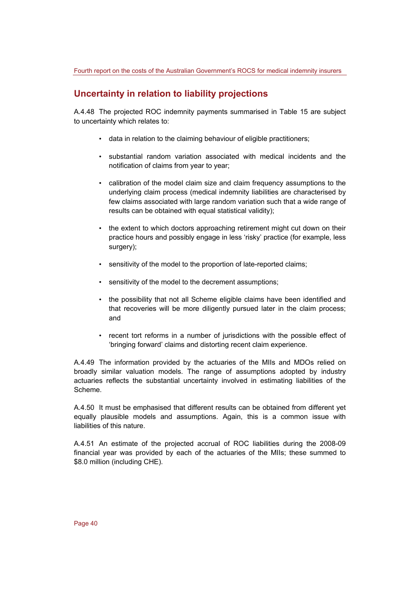## **Uncertainty in relation to liability projections**

A.4.48 The projected ROC indemnity payments summarised in Table 15 are subject to uncertainty which relates to:

- data in relation to the claiming behaviour of eligible practitioners;
- substantial random variation associated with medical incidents and the notification of claims from year to year;
- calibration of the model claim size and claim frequency assumptions to the underlying claim process (medical indemnity liabilities are characterised by few claims associated with large random variation such that a wide range of results can be obtained with equal statistical validity);
- the extent to which doctors approaching retirement might cut down on their practice hours and possibly engage in less 'risky' practice (for example, less surgery);
- sensitivity of the model to the proportion of late-reported claims;
- sensitivity of the model to the decrement assumptions;
- the possibility that not all Scheme eligible claims have been identified and that recoveries will be more diligently pursued later in the claim process; and
- recent tort reforms in a number of jurisdictions with the possible effect of 'bringing forward' claims and distorting recent claim experience.

A.4.49 The information provided by the actuaries of the MIIs and MDOs relied on broadly similar valuation models. The range of assumptions adopted by industry actuaries reflects the substantial uncertainty involved in estimating liabilities of the Scheme.

A.4.50 It must be emphasised that different results can be obtained from different yet equally plausible models and assumptions. Again, this is a common issue with liabilities of this nature.

A.4.51 An estimate of the projected accrual of ROC liabilities during the 2008-09 financial year was provided by each of the actuaries of the MIIs; these summed to \$8.0 million (including CHE).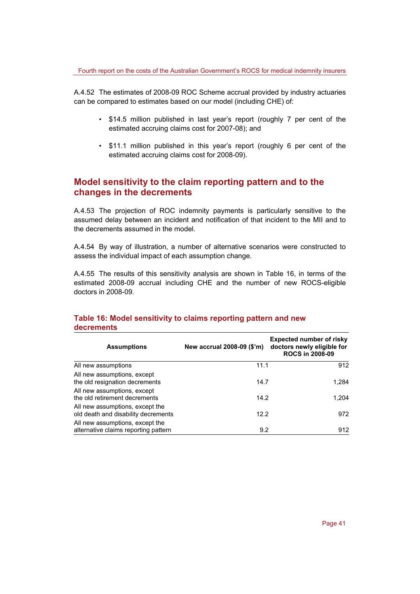A.4.52 The estimates of 2008-09 ROC Scheme accrual provided by industry actuaries can be compared to estimates based on our model (including CHE) of:

- \$14.5 million published in last year's report (roughly 7 per cent of the estimated accruing claims cost for 2007-08); and
- \$11.1 million published in this year's report (roughly 6 per cent of the estimated accruing claims cost for 2008-09).

### **Model sensitivity to the claim reporting pattern and to the changes in the decrements**

A.4.53 The projection of ROC indemnity payments is particularly sensitive to the assumed delay between an incident and notification of that incident to the MII and to the decrements assumed in the model.

A.4.54 By way of illustration, a number of alternative scenarios were constructed to assess the individual impact of each assumption change.

A.4.55 The results of this sensitivity analysis are shown in Table 16, in terms of the estimated 2008-09 accrual including CHE and the number of new ROCS-eligible doctors in 2008-09.

| <b>Assumptions</b>                                                      | New accrual 2008-09 (\$'m) | <b>Expected number of risky</b><br>doctors newly eligible for<br><b>ROCS in 2008-09</b> |
|-------------------------------------------------------------------------|----------------------------|-----------------------------------------------------------------------------------------|
| All new assumptions                                                     | 11.1                       | 912                                                                                     |
| All new assumptions, except<br>the old resignation decrements           | 14.7                       | 1.284                                                                                   |
| All new assumptions, except<br>the old retirement decrements            | 14.2                       | 1.204                                                                                   |
| All new assumptions, except the<br>old death and disability decrements  | 12.2                       | 972                                                                                     |
| All new assumptions, except the<br>alternative claims reporting pattern | 9.2                        | 912                                                                                     |

#### **Table 16: Model sensitivity to claims reporting pattern and new decrements**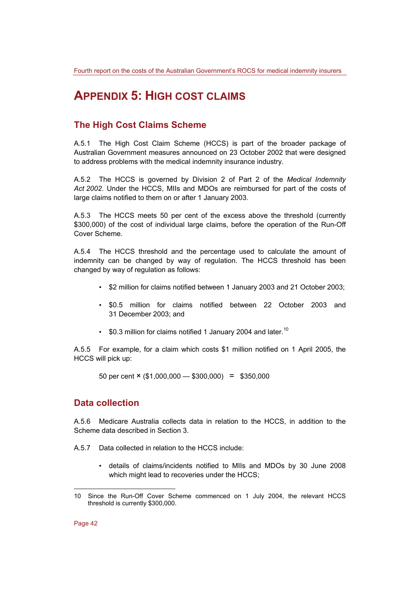## **APPENDIX 5: HIGH COST CLAIMS**

## **The High Cost Claims Scheme**

A.5.1 The High Cost Claim Scheme (HCCS) is part of the broader package of Australian Government measures announced on 23 October 2002 that were designed to address problems with the medical indemnity insurance industry.

A.5.2 The HCCS is governed by Division 2 of Part 2 of the *Medical Indemnity Act 2002*. Under the HCCS, MIIs and MDOs are reimbursed for part of the costs of large claims notified to them on or after 1 January 2003.

A.5.3 The HCCS meets 50 per cent of the excess above the threshold (currently \$300,000) of the cost of individual large claims, before the operation of the Run-Off Cover Scheme.

A.5.4 The HCCS threshold and the percentage used to calculate the amount of indemnity can be changed by way of regulation. The HCCS threshold has been changed by way of regulation as follows:

- \$2 million for claims notified between 1 January 2003 and 21 October 2003;
- \$0.5 million for claims notified between 22 October 2003 and 31 December 2003; and
- $$0.3$  million for claims notified 1 January 2004 and later.<sup>10</sup>

A.5.5 For example, for a claim which costs \$1 million notified on 1 April 2005, the HCCS will pick up:

50 per cent  $\times$  (\$1,000,000 - \$300,000) = \$350,000

### **Data collection**

A.5.6 Medicare Australia collects data in relation to the HCCS, in addition to the Scheme data described in Section 3.

- A.5.7 Data collected in relation to the HCCS include:
	- details of claims/incidents notified to MIIs and MDOs by 30 June 2008 which might lead to recoveries under the HCCS;

Page 42

l

<sup>10</sup> Since the Run-Off Cover Scheme commenced on 1 July 2004, the relevant HCCS threshold is currently \$300,000.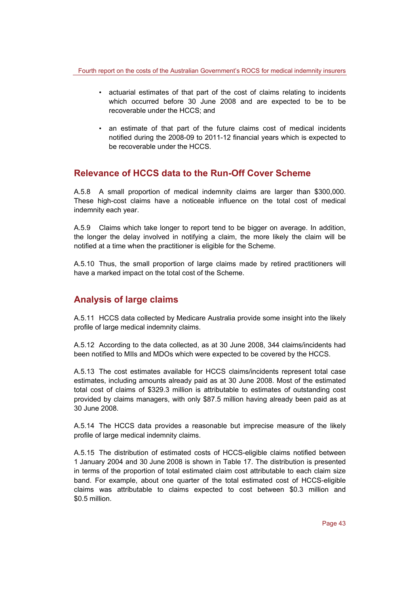- actuarial estimates of that part of the cost of claims relating to incidents which occurred before 30 June 2008 and are expected to be to be recoverable under the HCCS; and
- an estimate of that part of the future claims cost of medical incidents notified during the 2008-09 to 2011-12 financial years which is expected to be recoverable under the HCCS.

### **Relevance of HCCS data to the Run-Off Cover Scheme**

A.5.8 A small proportion of medical indemnity claims are larger than \$300,000. These high-cost claims have a noticeable influence on the total cost of medical indemnity each year.

A.5.9 Claims which take longer to report tend to be bigger on average. In addition, the longer the delay involved in notifying a claim, the more likely the claim will be notified at a time when the practitioner is eligible for the Scheme.

A.5.10 Thus, the small proportion of large claims made by retired practitioners will have a marked impact on the total cost of the Scheme.

## **Analysis of large claims**

A.5.11 HCCS data collected by Medicare Australia provide some insight into the likely profile of large medical indemnity claims.

A.5.12 According to the data collected, as at 30 June 2008, 344 claims/incidents had been notified to MIIs and MDOs which were expected to be covered by the HCCS.

A.5.13 The cost estimates available for HCCS claims/incidents represent total case estimates, including amounts already paid as at 30 June 2008. Most of the estimated total cost of claims of \$329.3 million is attributable to estimates of outstanding cost provided by claims managers, with only \$87.5 million having already been paid as at 30 June 2008.

A.5.14 The HCCS data provides a reasonable but imprecise measure of the likely profile of large medical indemnity claims.

A.5.15 The distribution of estimated costs of HCCS-eligible claims notified between 1 January 2004 and 30 June 2008 is shown in Table 17. The distribution is presented in terms of the proportion of total estimated claim cost attributable to each claim size band. For example, about one quarter of the total estimated cost of HCCS-eligible claims was attributable to claims expected to cost between \$0.3 million and \$0.5 million.